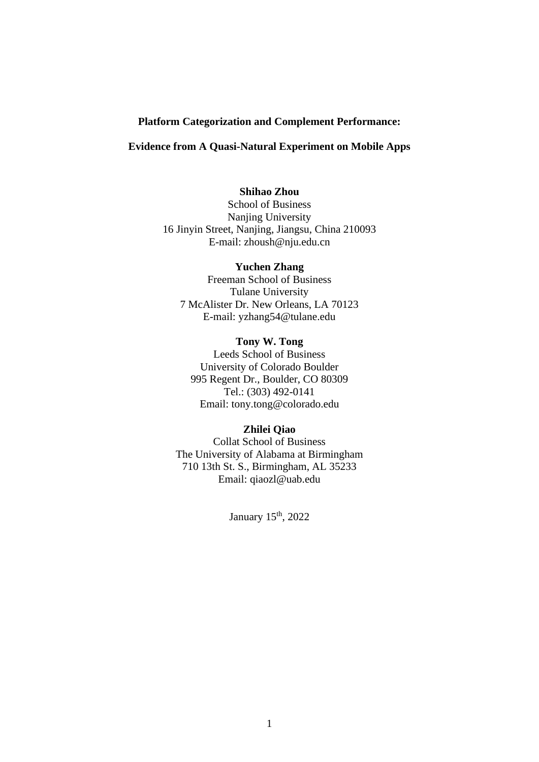#### **Platform Categorization and Complement Performance:**

## **Evidence from A Quasi-Natural Experiment on Mobile Apps**

## **Shihao Zhou**

School of Business Nanjing University 16 Jinyin Street, Nanjing, Jiangsu, China 210093 E-mail: zhoush@nju.edu.cn

> **Yuchen Zhang** Freeman School of Business Tulane University

7 McAlister Dr. New Orleans, LA 70123 E-mail: yzhang54@tulane.edu

## **Tony W. Tong**

Leeds School of Business University of Colorado Boulder 995 Regent Dr., Boulder, CO 80309 Tel.: (303) 492-0141 Email: tony.tong@colorado.edu

#### **Zhilei Qiao**

Collat School of Business The University of Alabama at Birmingham 710 13th St. S., Birmingham, AL 35233 Email: qiaozl@uab.edu

January 15<sup>th</sup>, 2022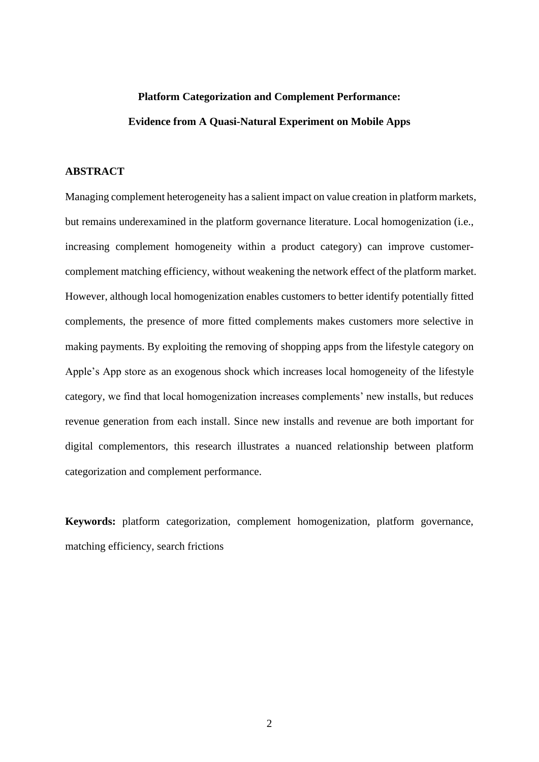# **Platform Categorization and Complement Performance: Evidence from A Quasi-Natural Experiment on Mobile Apps**

## **ABSTRACT**

Managing complement heterogeneity has a salient impact on value creation in platform markets, but remains underexamined in the platform governance literature. Local homogenization (i.e., increasing complement homogeneity within a product category) can improve customercomplement matching efficiency, without weakening the network effect of the platform market. However, although local homogenization enables customers to better identify potentially fitted complements, the presence of more fitted complements makes customers more selective in making payments. By exploiting the removing of shopping apps from the lifestyle category on Apple's App store as an exogenous shock which increases local homogeneity of the lifestyle category, we find that local homogenization increases complements' new installs, but reduces revenue generation from each install. Since new installs and revenue are both important for digital complementors, this research illustrates a nuanced relationship between platform categorization and complement performance.

**Keywords:** platform categorization, complement homogenization, platform governance, matching efficiency, search frictions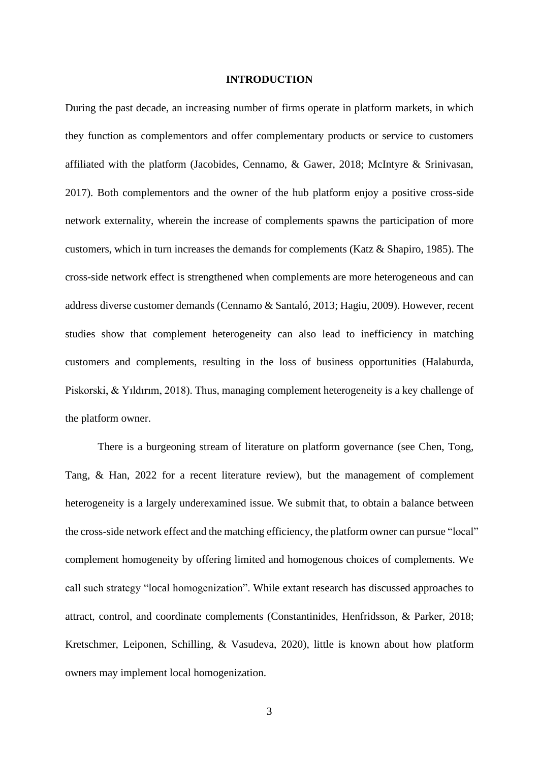#### **INTRODUCTION**

During the past decade, an increasing number of firms operate in platform markets, in which they function as complementors and offer complementary products or service to customers affiliated with the platform (Jacobides, Cennamo, & Gawer, 2018; McIntyre & Srinivasan, 2017). Both complementors and the owner of the hub platform enjoy a positive cross-side network externality, wherein the increase of complements spawns the participation of more customers, which in turn increases the demands for complements (Katz & Shapiro, 1985). The cross-side network effect is strengthened when complements are more heterogeneous and can address diverse customer demands (Cennamo & Santaló, 2013; Hagiu, 2009). However, recent studies show that complement heterogeneity can also lead to inefficiency in matching customers and complements, resulting in the loss of business opportunities (Halaburda, Piskorski, & Yıldırım, 2018). Thus, managing complement heterogeneity is a key challenge of the platform owner.

There is a burgeoning stream of literature on platform governance (see Chen, Tong, Tang, & Han, 2022 for a recent literature review), but the management of complement heterogeneity is a largely underexamined issue. We submit that, to obtain a balance between the cross-side network effect and the matching efficiency, the platform owner can pursue "local" complement homogeneity by offering limited and homogenous choices of complements. We call such strategy "local homogenization". While extant research has discussed approaches to attract, control, and coordinate complements (Constantinides, Henfridsson, & Parker, 2018; Kretschmer, Leiponen, Schilling, & Vasudeva, 2020), little is known about how platform owners may implement local homogenization.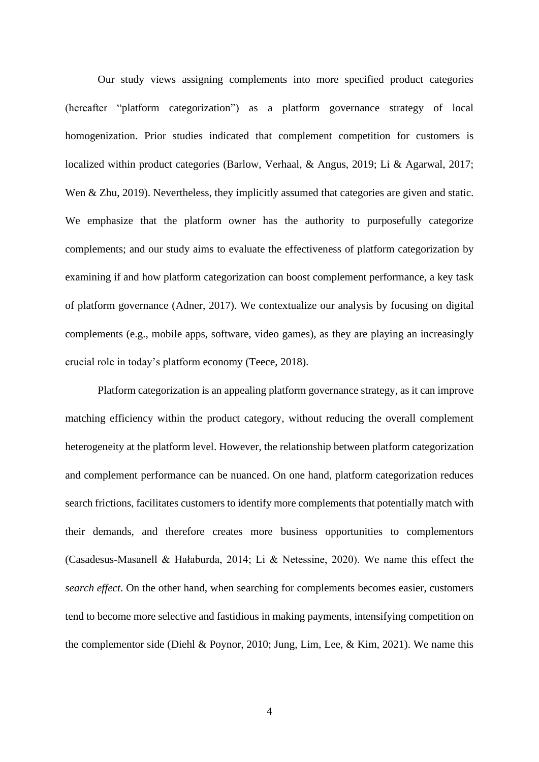Our study views assigning complements into more specified product categories (hereafter "platform categorization") as a platform governance strategy of local homogenization. Prior studies indicated that complement competition for customers is localized within product categories (Barlow, Verhaal, & Angus, 2019; Li & Agarwal, 2017; Wen & Zhu, 2019). Nevertheless, they implicitly assumed that categories are given and static. We emphasize that the platform owner has the authority to purposefully categorize complements; and our study aims to evaluate the effectiveness of platform categorization by examining if and how platform categorization can boost complement performance, a key task of platform governance (Adner, 2017). We contextualize our analysis by focusing on digital complements (e.g., mobile apps, software, video games), as they are playing an increasingly crucial role in today's platform economy (Teece, 2018).

Platform categorization is an appealing platform governance strategy, as it can improve matching efficiency within the product category, without reducing the overall complement heterogeneity at the platform level. However, the relationship between platform categorization and complement performance can be nuanced. On one hand, platform categorization reduces search frictions, facilitates customers to identify more complements that potentially match with their demands, and therefore creates more business opportunities to complementors (Casadesus-Masanell & Hałaburda, 2014; Li & Netessine, 2020). We name this effect the *search effect*. On the other hand, when searching for complements becomes easier, customers tend to become more selective and fastidious in making payments, intensifying competition on the complementor side (Diehl & Poynor, 2010; Jung, Lim, Lee, & Kim, 2021). We name this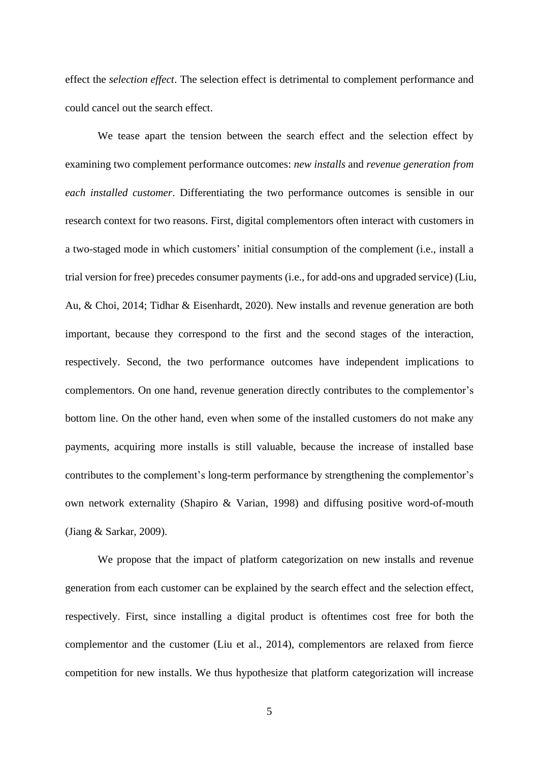effect the *selection effect*. The selection effect is detrimental to complement performance and could cancel out the search effect.

We tease apart the tension between the search effect and the selection effect by examining two complement performance outcomes: *new installs* and *revenue generation from each installed customer*. Differentiating the two performance outcomes is sensible in our research context for two reasons. First, digital complementors often interact with customers in a two-staged mode in which customers' initial consumption of the complement (i.e., install a trial version for free) precedes consumer payments (i.e., for add-ons and upgraded service) (Liu, Au, & Choi, 2014; Tidhar & Eisenhardt, 2020). New installs and revenue generation are both important, because they correspond to the first and the second stages of the interaction, respectively. Second, the two performance outcomes have independent implications to complementors. On one hand, revenue generation directly contributes to the complementor's bottom line. On the other hand, even when some of the installed customers do not make any payments, acquiring more installs is still valuable, because the increase of installed base contributes to the complement's long-term performance by strengthening the complementor's own network externality (Shapiro & Varian, 1998) and diffusing positive word-of-mouth (Jiang & Sarkar, 2009).

We propose that the impact of platform categorization on new installs and revenue generation from each customer can be explained by the search effect and the selection effect, respectively. First, since installing a digital product is oftentimes cost free for both the complementor and the customer (Liu et al., 2014), complementors are relaxed from fierce competition for new installs. We thus hypothesize that platform categorization will increase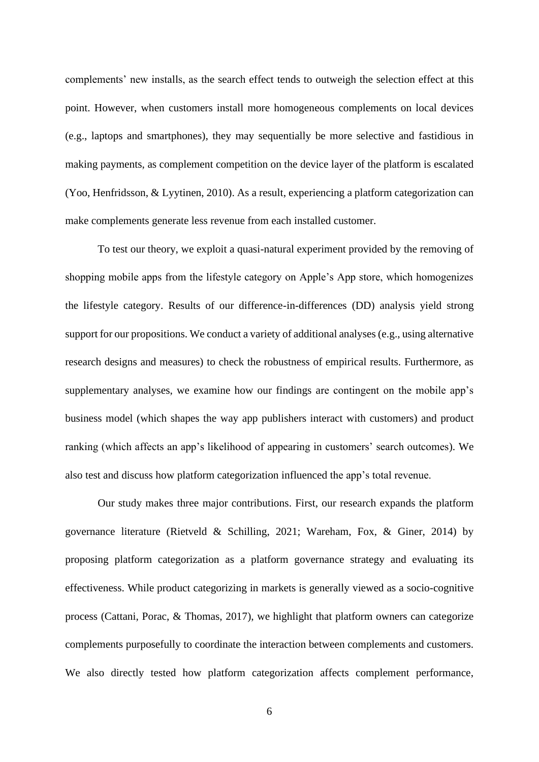complements' new installs, as the search effect tends to outweigh the selection effect at this point. However, when customers install more homogeneous complements on local devices (e.g., laptops and smartphones), they may sequentially be more selective and fastidious in making payments, as complement competition on the device layer of the platform is escalated (Yoo, Henfridsson, & Lyytinen, 2010). As a result, experiencing a platform categorization can make complements generate less revenue from each installed customer.

To test our theory, we exploit a quasi-natural experiment provided by the removing of shopping mobile apps from the lifestyle category on Apple's App store, which homogenizes the lifestyle category. Results of our difference-in-differences (DD) analysis yield strong support for our propositions. We conduct a variety of additional analyses (e.g., using alternative research designs and measures) to check the robustness of empirical results. Furthermore, as supplementary analyses, we examine how our findings are contingent on the mobile app's business model (which shapes the way app publishers interact with customers) and product ranking (which affects an app's likelihood of appearing in customers' search outcomes). We also test and discuss how platform categorization influenced the app's total revenue.

Our study makes three major contributions. First, our research expands the platform governance literature (Rietveld & Schilling, 2021; Wareham, Fox, & Giner, 2014) by proposing platform categorization as a platform governance strategy and evaluating its effectiveness. While product categorizing in markets is generally viewed as a socio-cognitive process (Cattani, Porac, & Thomas, 2017), we highlight that platform owners can categorize complements purposefully to coordinate the interaction between complements and customers. We also directly tested how platform categorization affects complement performance,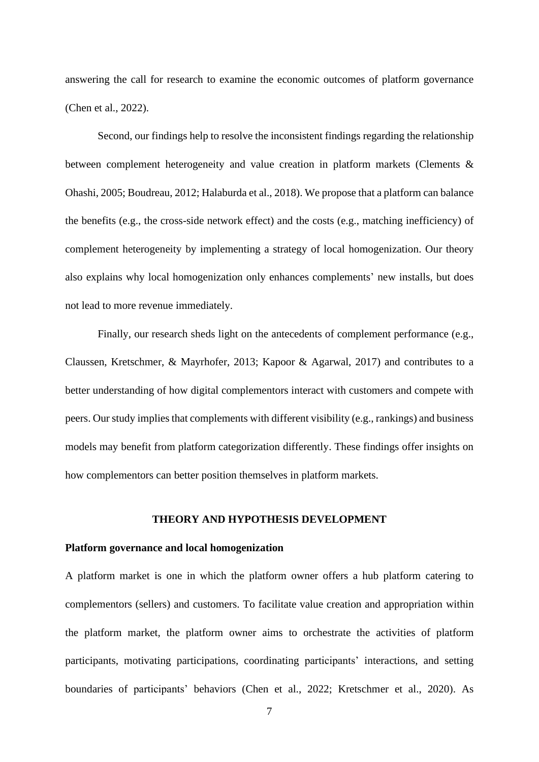answering the call for research to examine the economic outcomes of platform governance (Chen et al., 2022).

Second, our findings help to resolve the inconsistent findings regarding the relationship between complement heterogeneity and value creation in platform markets (Clements & Ohashi, 2005; Boudreau, 2012; Halaburda et al., 2018). We propose that a platform can balance the benefits (e.g., the cross-side network effect) and the costs (e.g., matching inefficiency) of complement heterogeneity by implementing a strategy of local homogenization. Our theory also explains why local homogenization only enhances complements' new installs, but does not lead to more revenue immediately.

Finally, our research sheds light on the antecedents of complement performance (e.g., Claussen, Kretschmer, & Mayrhofer, 2013; Kapoor & Agarwal, 2017) and contributes to a better understanding of how digital complementors interact with customers and compete with peers. Our study implies that complements with different visibility (e.g., rankings) and business models may benefit from platform categorization differently. These findings offer insights on how complementors can better position themselves in platform markets.

#### **THEORY AND HYPOTHESIS DEVELOPMENT**

#### **Platform governance and local homogenization**

A platform market is one in which the platform owner offers a hub platform catering to complementors (sellers) and customers. To facilitate value creation and appropriation within the platform market, the platform owner aims to orchestrate the activities of platform participants, motivating participations, coordinating participants' interactions, and setting boundaries of participants' behaviors (Chen et al., 2022; Kretschmer et al., 2020). As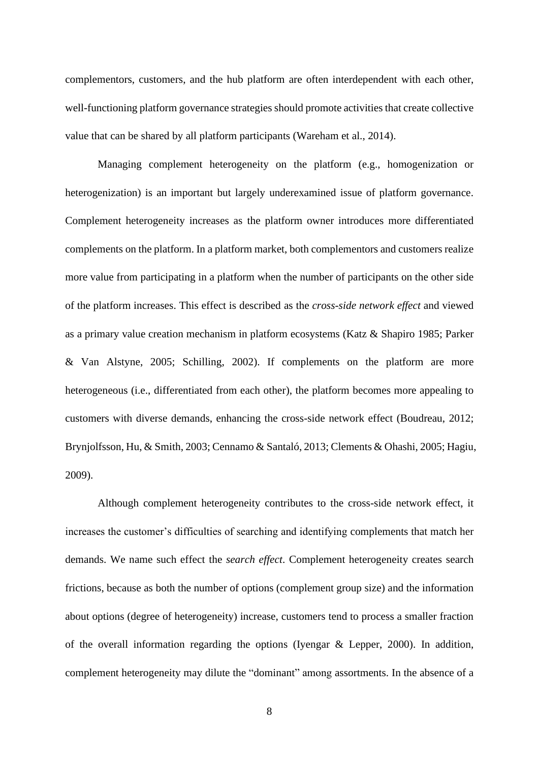complementors, customers, and the hub platform are often interdependent with each other, well-functioning platform governance strategies should promote activities that create collective value that can be shared by all platform participants (Wareham et al., 2014).

Managing complement heterogeneity on the platform (e.g., homogenization or heterogenization) is an important but largely underexamined issue of platform governance. Complement heterogeneity increases as the platform owner introduces more differentiated complements on the platform. In a platform market, both complementors and customers realize more value from participating in a platform when the number of participants on the other side of the platform increases. This effect is described as the *cross-side network effect* and viewed as a primary value creation mechanism in platform ecosystems (Katz & Shapiro 1985; Parker & Van Alstyne, 2005; Schilling, 2002). If complements on the platform are more heterogeneous (i.e., differentiated from each other), the platform becomes more appealing to customers with diverse demands, enhancing the cross-side network effect (Boudreau, 2012; Brynjolfsson, Hu, & Smith, 2003; Cennamo & Santaló, 2013; Clements & Ohashi, 2005; Hagiu, 2009).

Although complement heterogeneity contributes to the cross-side network effect, it increases the customer's difficulties of searching and identifying complements that match her demands. We name such effect the *search effect*. Complement heterogeneity creates search frictions, because as both the number of options (complement group size) and the information about options (degree of heterogeneity) increase, customers tend to process a smaller fraction of the overall information regarding the options (Iyengar & Lepper, 2000). In addition, complement heterogeneity may dilute the "dominant" among assortments. In the absence of a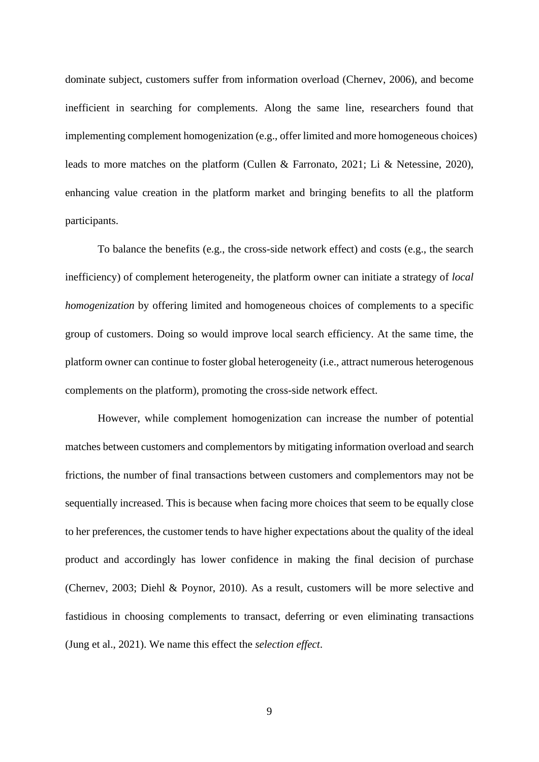dominate subject, customers suffer from information overload (Chernev, 2006), and become inefficient in searching for complements. Along the same line, researchers found that implementing complement homogenization (e.g., offer limited and more homogeneous choices) leads to more matches on the platform (Cullen & Farronato, 2021; Li & Netessine, 2020), enhancing value creation in the platform market and bringing benefits to all the platform participants.

To balance the benefits (e.g., the cross-side network effect) and costs (e.g., the search inefficiency) of complement heterogeneity, the platform owner can initiate a strategy of *local homogenization* by offering limited and homogeneous choices of complements to a specific group of customers. Doing so would improve local search efficiency. At the same time, the platform owner can continue to foster global heterogeneity (i.e., attract numerous heterogenous complements on the platform), promoting the cross-side network effect.

However, while complement homogenization can increase the number of potential matches between customers and complementors by mitigating information overload and search frictions, the number of final transactions between customers and complementors may not be sequentially increased. This is because when facing more choices that seem to be equally close to her preferences, the customer tends to have higher expectations about the quality of the ideal product and accordingly has lower confidence in making the final decision of purchase (Chernev, 2003; Diehl & Poynor, 2010). As a result, customers will be more selective and fastidious in choosing complements to transact, deferring or even eliminating transactions (Jung et al., 2021). We name this effect the *selection effect*.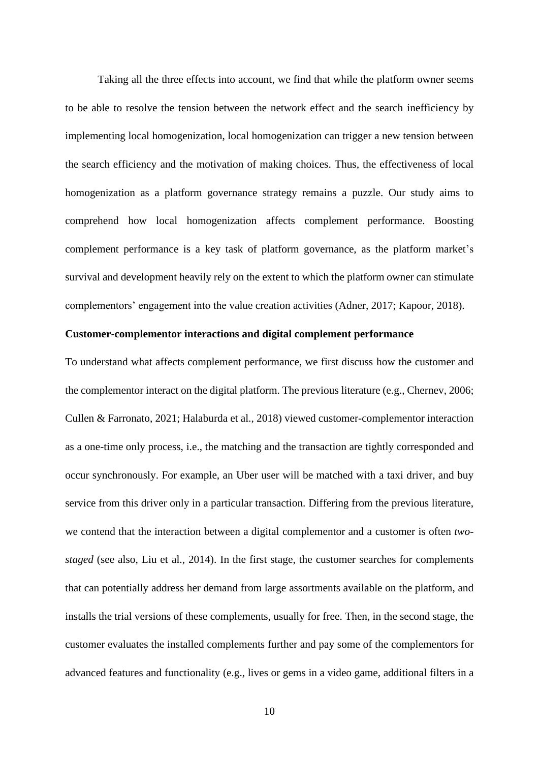Taking all the three effects into account, we find that while the platform owner seems to be able to resolve the tension between the network effect and the search inefficiency by implementing local homogenization, local homogenization can trigger a new tension between the search efficiency and the motivation of making choices. Thus, the effectiveness of local homogenization as a platform governance strategy remains a puzzle. Our study aims to comprehend how local homogenization affects complement performance. Boosting complement performance is a key task of platform governance, as the platform market's survival and development heavily rely on the extent to which the platform owner can stimulate complementors' engagement into the value creation activities (Adner, 2017; Kapoor, 2018).

## **Customer-complementor interactions and digital complement performance**

To understand what affects complement performance, we first discuss how the customer and the complementor interact on the digital platform. The previous literature (e.g., Chernev, 2006; Cullen & Farronato, 2021; Halaburda et al., 2018) viewed customer-complementor interaction as a one-time only process, i.e., the matching and the transaction are tightly corresponded and occur synchronously. For example, an Uber user will be matched with a taxi driver, and buy service from this driver only in a particular transaction. Differing from the previous literature, we contend that the interaction between a digital complementor and a customer is often *twostaged* (see also, Liu et al., 2014). In the first stage, the customer searches for complements that can potentially address her demand from large assortments available on the platform, and installs the trial versions of these complements, usually for free. Then, in the second stage, the customer evaluates the installed complements further and pay some of the complementors for advanced features and functionality (e.g., lives or gems in a video game, additional filters in a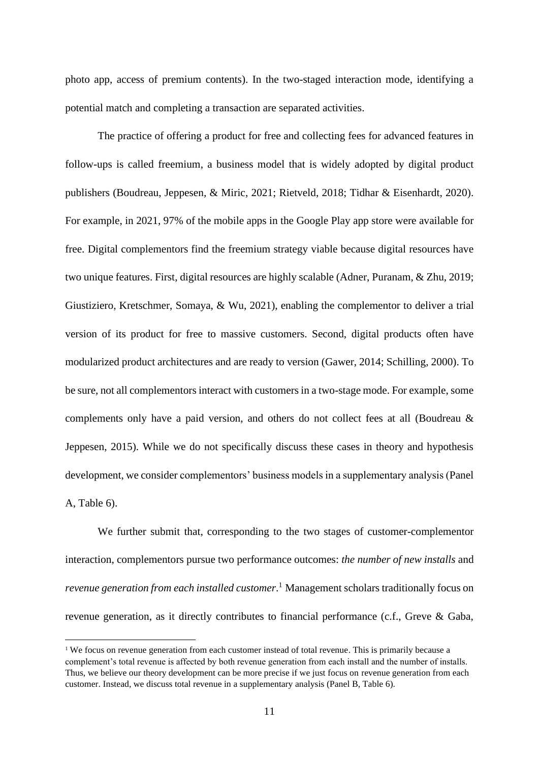photo app, access of premium contents). In the two-staged interaction mode, identifying a potential match and completing a transaction are separated activities.

The practice of offering a product for free and collecting fees for advanced features in follow-ups is called freemium, a business model that is widely adopted by digital product publishers (Boudreau, Jeppesen, & Miric, 2021; Rietveld, 2018; Tidhar & Eisenhardt, 2020). For example, in 2021, 97% of the mobile apps in the Google Play app store were available for free. Digital complementors find the freemium strategy viable because digital resources have two unique features. First, digital resources are highly scalable (Adner, Puranam, & Zhu, 2019; Giustiziero, Kretschmer, Somaya, & Wu, 2021), enabling the complementor to deliver a trial version of its product for free to massive customers. Second, digital products often have modularized product architectures and are ready to version (Gawer, 2014; Schilling, 2000). To be sure, not all complementors interact with customers in a two-stage mode. For example, some complements only have a paid version, and others do not collect fees at all (Boudreau & Jeppesen, 2015). While we do not specifically discuss these cases in theory and hypothesis development, we consider complementors' business models in a supplementary analysis (Panel A, Table 6).

We further submit that, corresponding to the two stages of customer-complementor interaction, complementors pursue two performance outcomes: *the number of new installs* and *revenue generation from each installed customer*. <sup>1</sup> Management scholars traditionally focus on revenue generation, as it directly contributes to financial performance (c.f., Greve & Gaba,

<sup>&</sup>lt;sup>1</sup> We focus on revenue generation from each customer instead of total revenue. This is primarily because a complement's total revenue is affected by both revenue generation from each install and the number of installs. Thus, we believe our theory development can be more precise if we just focus on revenue generation from each customer. Instead, we discuss total revenue in a supplementary analysis (Panel B, Table 6).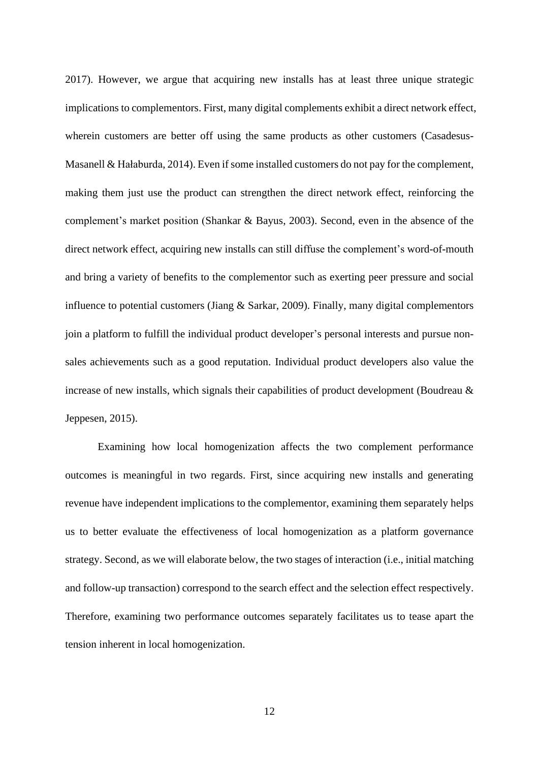2017). However, we argue that acquiring new installs has at least three unique strategic implications to complementors. First, many digital complements exhibit a direct network effect, wherein customers are better off using the same products as other customers (Casadesus-Masanell & Hałaburda, 2014). Even if some installed customers do not pay for the complement, making them just use the product can strengthen the direct network effect, reinforcing the complement's market position (Shankar & Bayus, 2003). Second, even in the absence of the direct network effect, acquiring new installs can still diffuse the complement's word-of-mouth and bring a variety of benefits to the complementor such as exerting peer pressure and social influence to potential customers (Jiang & Sarkar, 2009). Finally, many digital complementors join a platform to fulfill the individual product developer's personal interests and pursue nonsales achievements such as a good reputation. Individual product developers also value the increase of new installs, which signals their capabilities of product development (Boudreau & Jeppesen, 2015).

Examining how local homogenization affects the two complement performance outcomes is meaningful in two regards. First, since acquiring new installs and generating revenue have independent implications to the complementor, examining them separately helps us to better evaluate the effectiveness of local homogenization as a platform governance strategy. Second, as we will elaborate below, the two stages of interaction (i.e., initial matching and follow-up transaction) correspond to the search effect and the selection effect respectively. Therefore, examining two performance outcomes separately facilitates us to tease apart the tension inherent in local homogenization.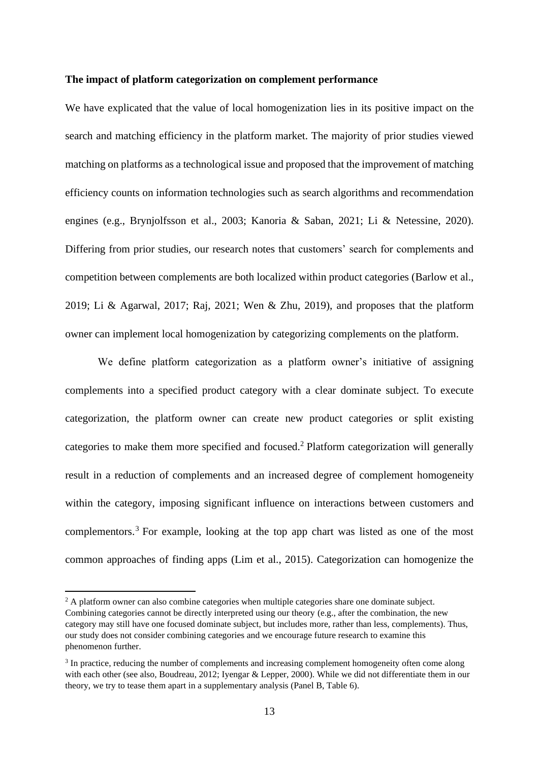#### **The impact of platform categorization on complement performance**

We have explicated that the value of local homogenization lies in its positive impact on the search and matching efficiency in the platform market. The majority of prior studies viewed matching on platforms as a technological issue and proposed that the improvement of matching efficiency counts on information technologies such as search algorithms and recommendation engines (e.g., Brynjolfsson et al., 2003; Kanoria & Saban, 2021; Li & Netessine, 2020). Differing from prior studies, our research notes that customers' search for complements and competition between complements are both localized within product categories (Barlow et al., 2019; Li & Agarwal, 2017; Raj, 2021; Wen & Zhu, 2019), and proposes that the platform owner can implement local homogenization by categorizing complements on the platform.

We define platform categorization as a platform owner's initiative of assigning complements into a specified product category with a clear dominate subject. To execute categorization, the platform owner can create new product categories or split existing categories to make them more specified and focused.<sup>2</sup> Platform categorization will generally result in a reduction of complements and an increased degree of complement homogeneity within the category, imposing significant influence on interactions between customers and complementors. <sup>3</sup> For example, looking at the top app chart was listed as one of the most common approaches of finding apps (Lim et al., 2015). Categorization can homogenize the

 $<sup>2</sup>$  A platform owner can also combine categories when multiple categories share one dominate subject.</sup> Combining categories cannot be directly interpreted using our theory (e.g., after the combination, the new category may still have one focused dominate subject, but includes more, rather than less, complements). Thus, our study does not consider combining categories and we encourage future research to examine this phenomenon further.

<sup>&</sup>lt;sup>3</sup> In practice, reducing the number of complements and increasing complement homogeneity often come along with each other (see also, Boudreau, 2012; Iyengar & Lepper, 2000). While we did not differentiate them in our theory, we try to tease them apart in a supplementary analysis (Panel B, Table 6).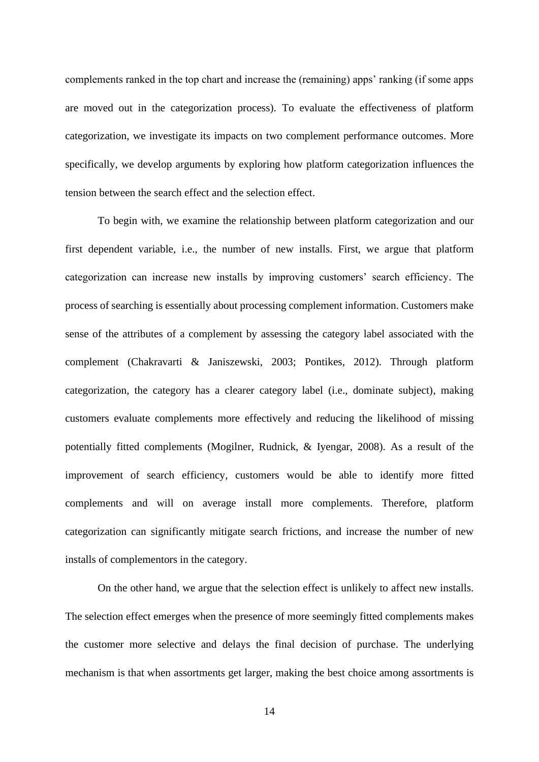complements ranked in the top chart and increase the (remaining) apps' ranking (if some apps are moved out in the categorization process). To evaluate the effectiveness of platform categorization, we investigate its impacts on two complement performance outcomes. More specifically, we develop arguments by exploring how platform categorization influences the tension between the search effect and the selection effect.

To begin with, we examine the relationship between platform categorization and our first dependent variable, i.e., the number of new installs. First, we argue that platform categorization can increase new installs by improving customers' search efficiency. The process of searching is essentially about processing complement information. Customers make sense of the attributes of a complement by assessing the category label associated with the complement (Chakravarti & Janiszewski, 2003; Pontikes, 2012). Through platform categorization, the category has a clearer category label (i.e., dominate subject), making customers evaluate complements more effectively and reducing the likelihood of missing potentially fitted complements (Mogilner, Rudnick, & Iyengar, 2008). As a result of the improvement of search efficiency, customers would be able to identify more fitted complements and will on average install more complements. Therefore, platform categorization can significantly mitigate search frictions, and increase the number of new installs of complementors in the category.

On the other hand, we argue that the selection effect is unlikely to affect new installs. The selection effect emerges when the presence of more seemingly fitted complements makes the customer more selective and delays the final decision of purchase. The underlying mechanism is that when assortments get larger, making the best choice among assortments is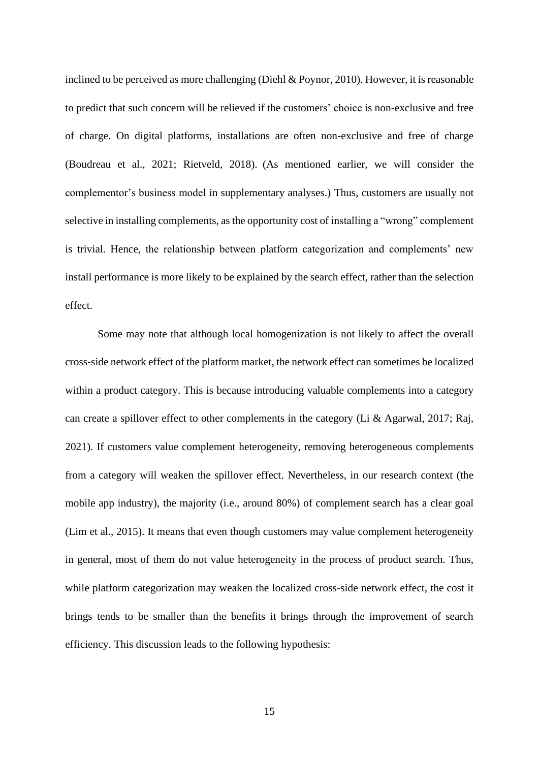inclined to be perceived as more challenging (Diehl & Poynor, 2010). However, it is reasonable to predict that such concern will be relieved if the customers' choice is non-exclusive and free of charge. On digital platforms, installations are often non-exclusive and free of charge (Boudreau et al., 2021; Rietveld, 2018). (As mentioned earlier, we will consider the complementor's business model in supplementary analyses.) Thus, customers are usually not selective in installing complements, as the opportunity cost of installing a "wrong" complement is trivial. Hence, the relationship between platform categorization and complements' new install performance is more likely to be explained by the search effect, rather than the selection effect.

Some may note that although local homogenization is not likely to affect the overall cross-side network effect of the platform market, the network effect can sometimes be localized within a product category. This is because introducing valuable complements into a category can create a spillover effect to other complements in the category (Li & Agarwal, 2017; Raj, 2021). If customers value complement heterogeneity, removing heterogeneous complements from a category will weaken the spillover effect. Nevertheless, in our research context (the mobile app industry), the majority (i.e., around 80%) of complement search has a clear goal (Lim et al., 2015). It means that even though customers may value complement heterogeneity in general, most of them do not value heterogeneity in the process of product search. Thus, while platform categorization may weaken the localized cross-side network effect, the cost it brings tends to be smaller than the benefits it brings through the improvement of search efficiency. This discussion leads to the following hypothesis: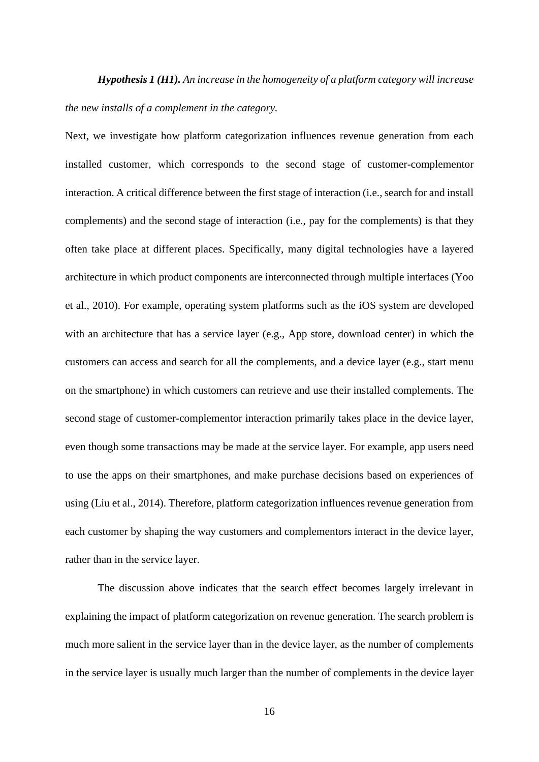*Hypothesis 1 (H1). An increase in the homogeneity of a platform category will increase the new installs of a complement in the category.*

Next, we investigate how platform categorization influences revenue generation from each installed customer, which corresponds to the second stage of customer-complementor interaction. A critical difference between the first stage of interaction (i.e., search for and install complements) and the second stage of interaction (i.e., pay for the complements) is that they often take place at different places. Specifically, many digital technologies have a layered architecture in which product components are interconnected through multiple interfaces (Yoo et al., 2010). For example, operating system platforms such as the iOS system are developed with an architecture that has a service layer (e.g., App store, download center) in which the customers can access and search for all the complements, and a device layer (e.g., start menu on the smartphone) in which customers can retrieve and use their installed complements. The second stage of customer-complementor interaction primarily takes place in the device layer, even though some transactions may be made at the service layer. For example, app users need to use the apps on their smartphones, and make purchase decisions based on experiences of using (Liu et al., 2014). Therefore, platform categorization influences revenue generation from each customer by shaping the way customers and complementors interact in the device layer, rather than in the service layer.

The discussion above indicates that the search effect becomes largely irrelevant in explaining the impact of platform categorization on revenue generation. The search problem is much more salient in the service layer than in the device layer, as the number of complements in the service layer is usually much larger than the number of complements in the device layer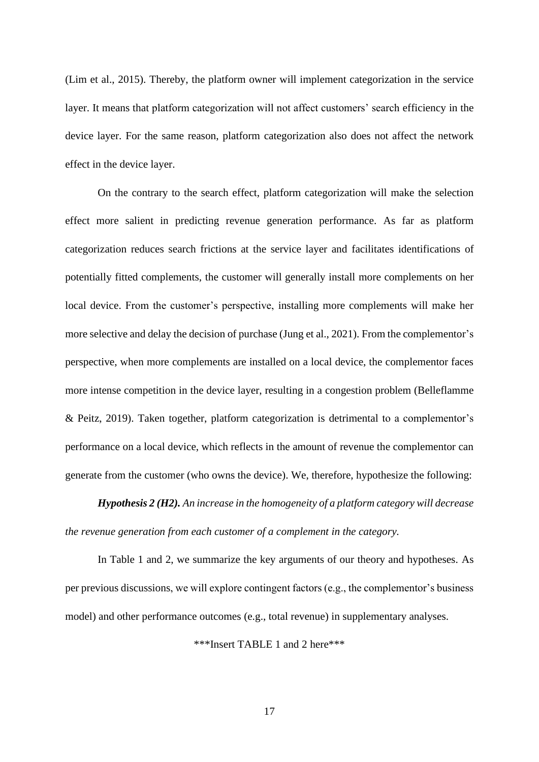(Lim et al., 2015). Thereby, the platform owner will implement categorization in the service layer. It means that platform categorization will not affect customers' search efficiency in the device layer. For the same reason, platform categorization also does not affect the network effect in the device layer.

On the contrary to the search effect, platform categorization will make the selection effect more salient in predicting revenue generation performance. As far as platform categorization reduces search frictions at the service layer and facilitates identifications of potentially fitted complements, the customer will generally install more complements on her local device. From the customer's perspective, installing more complements will make her more selective and delay the decision of purchase (Jung et al., 2021). From the complementor's perspective, when more complements are installed on a local device, the complementor faces more intense competition in the device layer, resulting in a congestion problem (Belleflamme & Peitz, 2019). Taken together, platform categorization is detrimental to a complementor's performance on a local device, which reflects in the amount of revenue the complementor can generate from the customer (who owns the device). We, therefore, hypothesize the following:

*Hypothesis 2 (H2). An increase in the homogeneity of a platform category will decrease the revenue generation from each customer of a complement in the category.*

In Table 1 and 2, we summarize the key arguments of our theory and hypotheses. As per previous discussions, we will explore contingent factors (e.g., the complementor's business model) and other performance outcomes (e.g., total revenue) in supplementary analyses.

\*\*\*Insert TABLE 1 and 2 here\*\*\*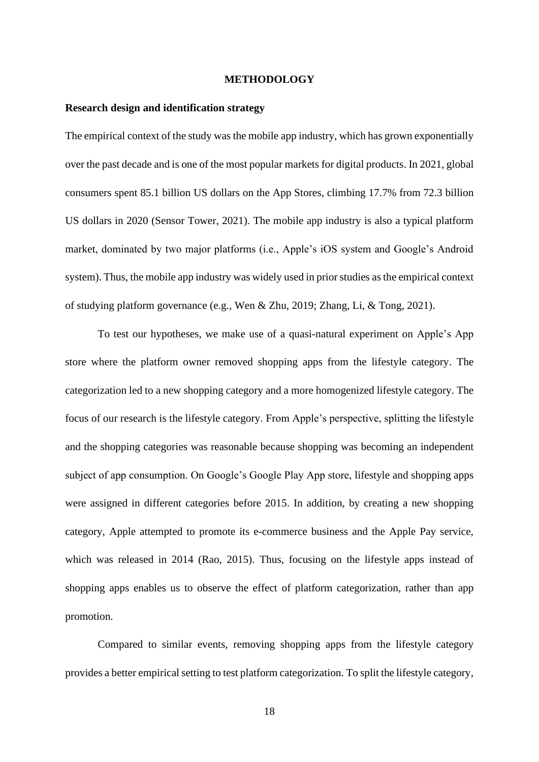#### **METHODOLOGY**

#### **Research design and identification strategy**

The empirical context of the study was the mobile app industry, which has grown exponentially over the past decade and is one of the most popular markets for digital products. In 2021, global consumers spent 85.1 billion US dollars on the App Stores, climbing 17.7% from 72.3 billion US dollars in 2020 (Sensor Tower, 2021). The mobile app industry is also a typical platform market, dominated by two major platforms (i.e., Apple's iOS system and Google's Android system). Thus, the mobile app industry was widely used in prior studies as the empirical context of studying platform governance (e.g., Wen & Zhu, 2019; Zhang, Li, & Tong, 2021).

To test our hypotheses, we make use of a quasi-natural experiment on Apple's App store where the platform owner removed shopping apps from the lifestyle category. The categorization led to a new shopping category and a more homogenized lifestyle category. The focus of our research is the lifestyle category. From Apple's perspective, splitting the lifestyle and the shopping categories was reasonable because shopping was becoming an independent subject of app consumption. On Google's Google Play App store, lifestyle and shopping apps were assigned in different categories before 2015. In addition, by creating a new shopping category, Apple attempted to promote its e-commerce business and the Apple Pay service, which was released in 2014 (Rao, 2015). Thus, focusing on the lifestyle apps instead of shopping apps enables us to observe the effect of platform categorization, rather than app promotion.

Compared to similar events, removing shopping apps from the lifestyle category provides a better empirical setting to test platform categorization. To split the lifestyle category,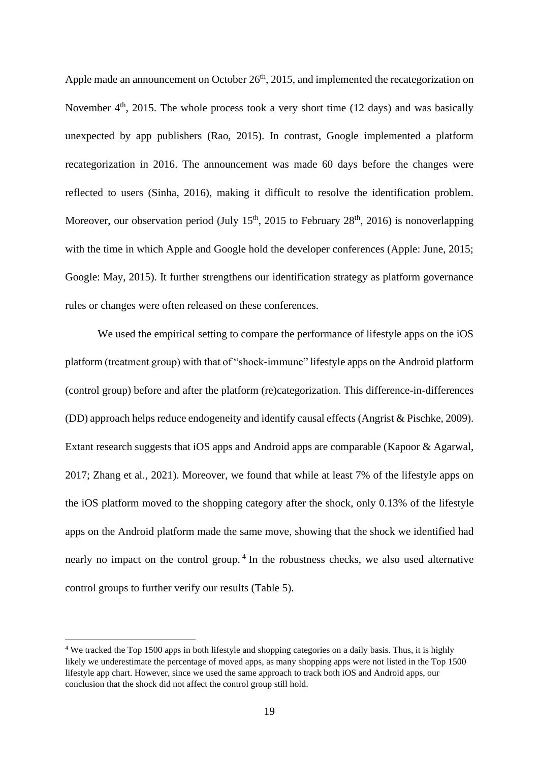Apple made an announcement on October  $26<sup>th</sup>$ , 2015, and implemented the recategorization on November  $4<sup>th</sup>$ , 2015. The whole process took a very short time (12 days) and was basically unexpected by app publishers (Rao, 2015). In contrast, Google implemented a platform recategorization in 2016. The announcement was made 60 days before the changes were reflected to users (Sinha, 2016), making it difficult to resolve the identification problem. Moreover, our observation period (July  $15<sup>th</sup>$ , 2015 to February 28<sup>th</sup>, 2016) is nonoverlapping with the time in which Apple and Google hold the developer conferences (Apple: June, 2015; Google: May, 2015). It further strengthens our identification strategy as platform governance rules or changes were often released on these conferences.

We used the empirical setting to compare the performance of lifestyle apps on the iOS platform (treatment group) with that of "shock-immune" lifestyle apps on the Android platform (control group) before and after the platform (re)categorization. This difference-in-differences (DD) approach helps reduce endogeneity and identify causal effects (Angrist & Pischke, 2009). Extant research suggests that iOS apps and Android apps are comparable (Kapoor & Agarwal, 2017; Zhang et al., 2021). Moreover, we found that while at least 7% of the lifestyle apps on the iOS platform moved to the shopping category after the shock, only 0.13% of the lifestyle apps on the Android platform made the same move, showing that the shock we identified had nearly no impact on the control group.<sup>4</sup> In the robustness checks, we also used alternative control groups to further verify our results (Table 5).

<sup>4</sup> We tracked the Top 1500 apps in both lifestyle and shopping categories on a daily basis. Thus, it is highly likely we underestimate the percentage of moved apps, as many shopping apps were not listed in the Top 1500 lifestyle app chart. However, since we used the same approach to track both iOS and Android apps, our conclusion that the shock did not affect the control group still hold.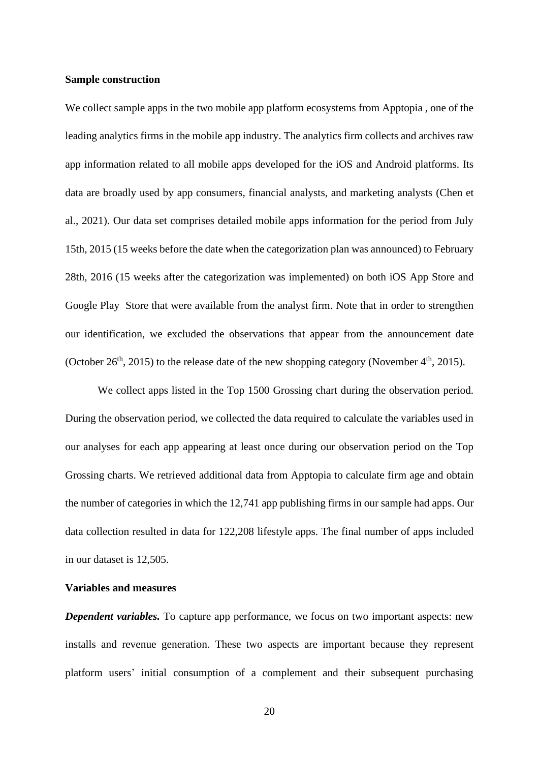#### **Sample construction**

We collect sample apps in the two mobile app platform ecosystems from Apptopia , one of the leading analytics firms in the mobile app industry. The analytics firm collects and archives raw app information related to all mobile apps developed for the iOS and Android platforms. Its data are broadly used by app consumers, financial analysts, and marketing analysts (Chen et al., 2021). Our data set comprises detailed mobile apps information for the period from July 15th, 2015 (15 weeks before the date when the categorization plan was announced) to February 28th, 2016 (15 weeks after the categorization was implemented) on both iOS App Store and Google Play Store that were available from the analyst firm. Note that in order to strengthen our identification, we excluded the observations that appear from the announcement date (October 26<sup>th</sup>, 2015) to the release date of the new shopping category (November  $4<sup>th</sup>$ , 2015).

We collect apps listed in the Top 1500 Grossing chart during the observation period. During the observation period, we collected the data required to calculate the variables used in our analyses for each app appearing at least once during our observation period on the Top Grossing charts. We retrieved additional data from Apptopia to calculate firm age and obtain the number of categories in which the 12,741 app publishing firms in our sample had apps. Our data collection resulted in data for 122,208 lifestyle apps. The final number of apps included in our dataset is 12,505.

## **Variables and measures**

*Dependent variables.* To capture app performance, we focus on two important aspects: new installs and revenue generation. These two aspects are important because they represent platform users' initial consumption of a complement and their subsequent purchasing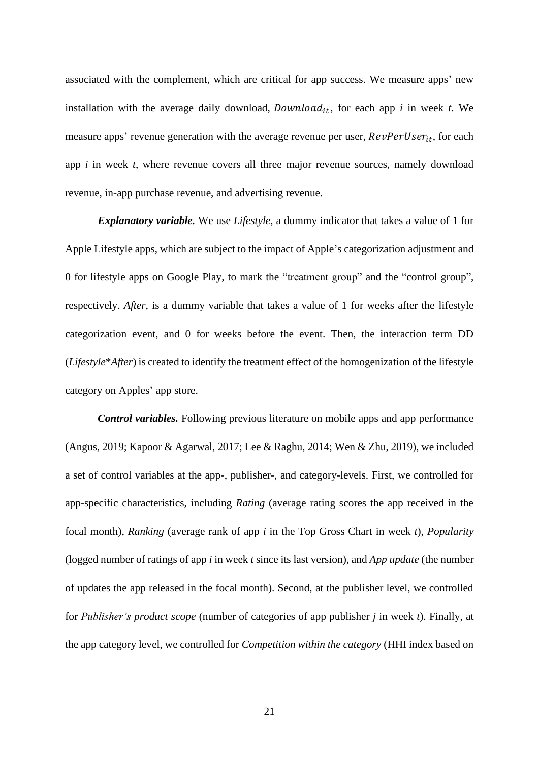associated with the complement, which are critical for app success. We measure apps' new installation with the average daily download,  $Download_{it}$ , for each app *i* in week *t*. We measure apps' revenue generation with the average revenue per user,  $RevPerUser_{it}$ , for each app *i* in week *t*, where revenue covers all three major revenue sources, namely download revenue, in-app purchase revenue, and advertising revenue.

*Explanatory variable.* We use *Lifestyle*, a dummy indicator that takes a value of 1 for Apple Lifestyle apps, which are subject to the impact of Apple's categorization adjustment and 0 for lifestyle apps on Google Play, to mark the "treatment group" and the "control group", respectively. *After*, is a dummy variable that takes a value of 1 for weeks after the lifestyle categorization event, and 0 for weeks before the event. Then, the interaction term DD (*Lifestyle*\**After*) is created to identify the treatment effect of the homogenization of the lifestyle category on Apples' app store.

*Control variables.* Following previous literature on mobile apps and app performance (Angus, 2019; Kapoor & Agarwal, 2017; Lee & Raghu, 2014; Wen & Zhu, 2019), we included a set of control variables at the app-, publisher-, and category-levels. First, we controlled for app-specific characteristics, including *Rating* (average rating scores the app received in the focal month), *Ranking* (average rank of app *i* in the Top Gross Chart in week *t*), *Popularity* (logged number of ratings of app *i* in week *t* since its last version), and *App update* (the number of updates the app released in the focal month). Second, at the publisher level, we controlled for *Publisher's product scope* (number of categories of app publisher *j* in week *t*). Finally, at the app category level, we controlled for *Competition within the category* (HHI index based on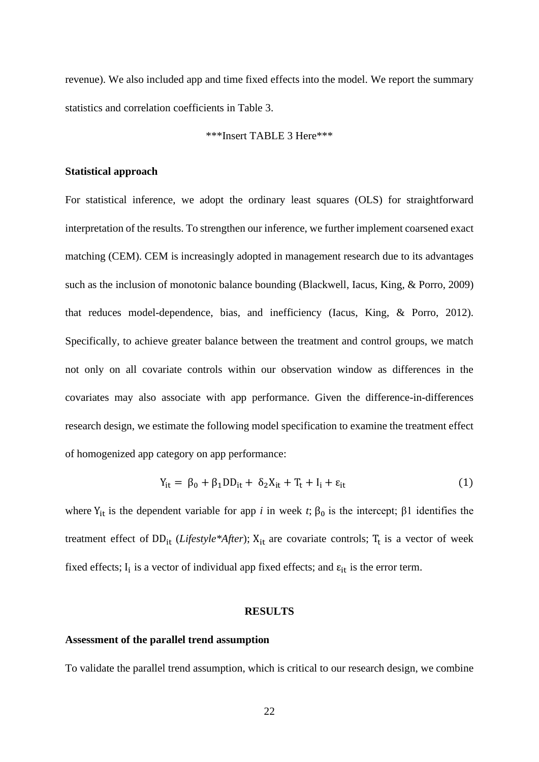revenue). We also included app and time fixed effects into the model. We report the summary statistics and correlation coefficients in Table 3.

## \*\*\*Insert TABLE 3 Here\*\*\*

#### **Statistical approach**

For statistical inference, we adopt the ordinary least squares (OLS) for straightforward interpretation of the results. To strengthen our inference, we further implement coarsened exact matching (CEM). CEM is increasingly adopted in management research due to its advantages such as the inclusion of monotonic balance bounding (Blackwell, Iacus, King, & Porro, 2009) that reduces model-dependence, bias, and inefficiency (Iacus, King, & Porro, 2012). Specifically, to achieve greater balance between the treatment and control groups, we match not only on all covariate controls within our observation window as differences in the covariates may also associate with app performance. Given the difference-in-differences research design, we estimate the following model specification to examine the treatment effect of homogenized app category on app performance:

$$
Y_{it} = \beta_0 + \beta_1 DD_{it} + \delta_2 X_{it} + T_t + I_i + \varepsilon_{it}
$$
\n(1)

where  $Y_{it}$  is the dependent variable for app *i* in week *t*;  $\beta_0$  is the intercept;  $\beta_1$  identifies the treatment effect of DD<sub>it</sub> (*Lifestyle\*After*);  $X_{it}$  are covariate controls;  $T_t$  is a vector of week fixed effects;  $I_i$  is a vector of individual app fixed effects; and  $\varepsilon_{it}$  is the error term.

#### **RESULTS**

#### **Assessment of the parallel trend assumption**

To validate the parallel trend assumption, which is critical to our research design, we combine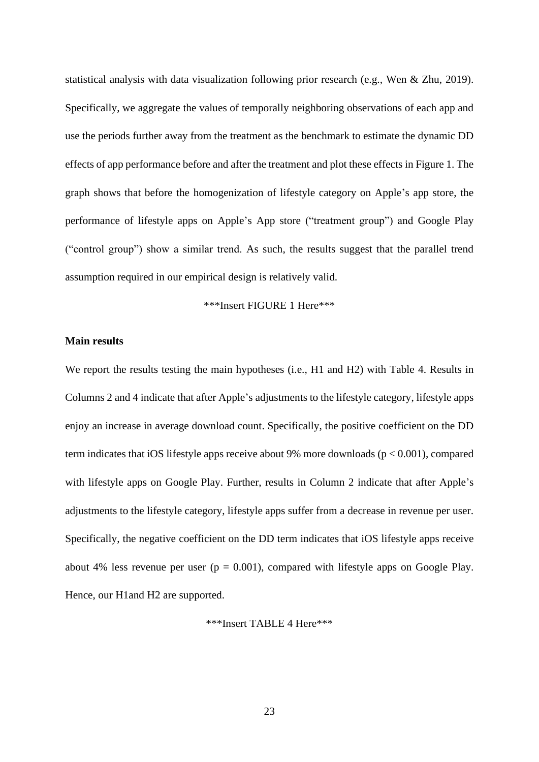statistical analysis with data visualization following prior research (e.g., Wen & Zhu, 2019). Specifically, we aggregate the values of temporally neighboring observations of each app and use the periods further away from the treatment as the benchmark to estimate the dynamic DD effects of app performance before and after the treatment and plot these effects in Figure 1. The graph shows that before the homogenization of lifestyle category on Apple's app store, the performance of lifestyle apps on Apple's App store ("treatment group") and Google Play ("control group") show a similar trend. As such, the results suggest that the parallel trend assumption required in our empirical design is relatively valid.

## \*\*\*Insert FIGURE 1 Here\*\*\*

### **Main results**

We report the results testing the main hypotheses (i.e., H1 and H2) with Table 4. Results in Columns 2 and 4 indicate that after Apple's adjustments to the lifestyle category, lifestyle apps enjoy an increase in average download count. Specifically, the positive coefficient on the DD term indicates that iOS lifestyle apps receive about 9% more downloads ( $p < 0.001$ ), compared with lifestyle apps on Google Play. Further, results in Column 2 indicate that after Apple's adjustments to the lifestyle category, lifestyle apps suffer from a decrease in revenue per user. Specifically, the negative coefficient on the DD term indicates that iOS lifestyle apps receive about 4% less revenue per user  $(p = 0.001)$ , compared with lifestyle apps on Google Play. Hence, our H1and H2 are supported.

\*\*\*Insert TABLE 4 Here\*\*\*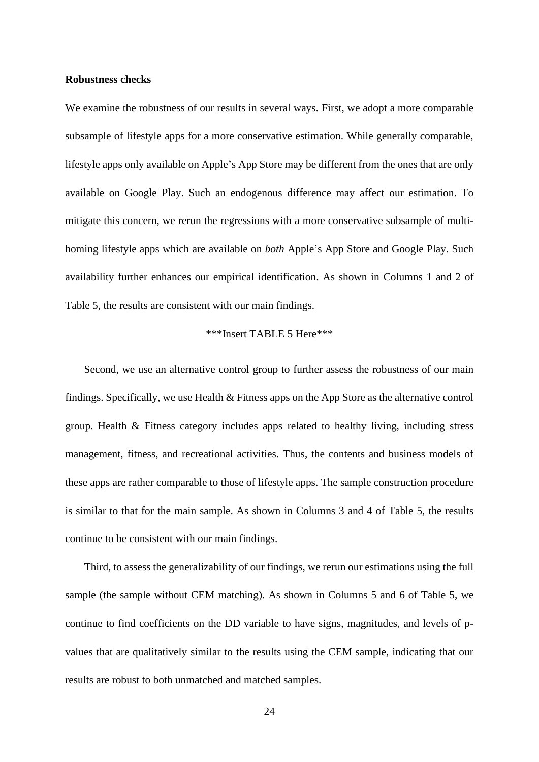#### **Robustness checks**

We examine the robustness of our results in several ways. First, we adopt a more comparable subsample of lifestyle apps for a more conservative estimation. While generally comparable, lifestyle apps only available on Apple's App Store may be different from the ones that are only available on Google Play. Such an endogenous difference may affect our estimation. To mitigate this concern, we rerun the regressions with a more conservative subsample of multihoming lifestyle apps which are available on *both* Apple's App Store and Google Play. Such availability further enhances our empirical identification. As shown in Columns 1 and 2 of Table 5, the results are consistent with our main findings.

## \*\*\*Insert TABLE 5 Here\*\*\*

Second, we use an alternative control group to further assess the robustness of our main findings. Specifically, we use Health & Fitness apps on the App Store as the alternative control group. Health & Fitness category includes apps related to healthy living, including stress management, fitness, and recreational activities. Thus, the contents and business models of these apps are rather comparable to those of lifestyle apps. The sample construction procedure is similar to that for the main sample. As shown in Columns 3 and 4 of Table 5, the results continue to be consistent with our main findings.

Third, to assess the generalizability of our findings, we rerun our estimations using the full sample (the sample without CEM matching). As shown in Columns 5 and 6 of Table 5, we continue to find coefficients on the DD variable to have signs, magnitudes, and levels of pvalues that are qualitatively similar to the results using the CEM sample, indicating that our results are robust to both unmatched and matched samples.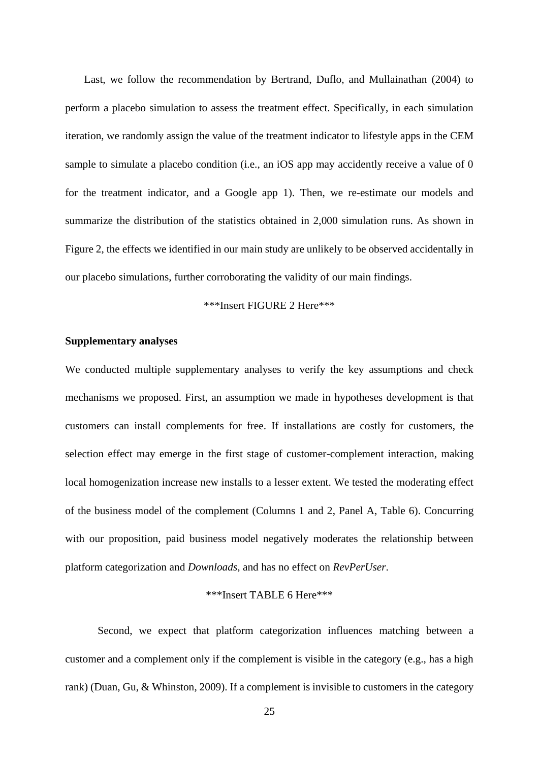Last, we follow the recommendation by Bertrand, Duflo, and Mullainathan (2004) to perform a placebo simulation to assess the treatment effect. Specifically, in each simulation iteration, we randomly assign the value of the treatment indicator to lifestyle apps in the CEM sample to simulate a placebo condition (i.e., an iOS app may accidently receive a value of 0 for the treatment indicator, and a Google app 1). Then, we re-estimate our models and summarize the distribution of the statistics obtained in 2,000 simulation runs. As shown in Figure 2, the effects we identified in our main study are unlikely to be observed accidentally in our placebo simulations, further corroborating the validity of our main findings.

## \*\*\*Insert FIGURE 2 Here\*\*\*

## **Supplementary analyses**

We conducted multiple supplementary analyses to verify the key assumptions and check mechanisms we proposed. First, an assumption we made in hypotheses development is that customers can install complements for free. If installations are costly for customers, the selection effect may emerge in the first stage of customer-complement interaction, making local homogenization increase new installs to a lesser extent. We tested the moderating effect of the business model of the complement (Columns 1 and 2, Panel A, Table 6). Concurring with our proposition, paid business model negatively moderates the relationship between platform categorization and *Downloads*, and has no effect on *RevPerUser*.

## \*\*\*Insert TABLE 6 Here\*\*\*

Second, we expect that platform categorization influences matching between a customer and a complement only if the complement is visible in the category (e.g., has a high rank) (Duan, Gu, & Whinston, 2009). If a complement is invisible to customers in the category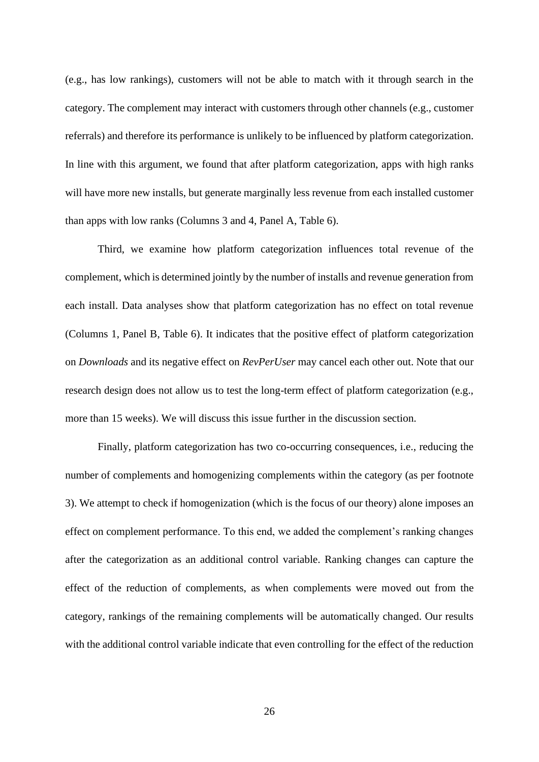(e.g., has low rankings), customers will not be able to match with it through search in the category. The complement may interact with customers through other channels (e.g., customer referrals) and therefore its performance is unlikely to be influenced by platform categorization. In line with this argument, we found that after platform categorization, apps with high ranks will have more new installs, but generate marginally less revenue from each installed customer than apps with low ranks (Columns 3 and 4, Panel A, Table 6).

Third, we examine how platform categorization influences total revenue of the complement, which is determined jointly by the number of installs and revenue generation from each install. Data analyses show that platform categorization has no effect on total revenue (Columns 1, Panel B, Table 6). It indicates that the positive effect of platform categorization on *Downloads* and its negative effect on *RevPerUser* may cancel each other out. Note that our research design does not allow us to test the long-term effect of platform categorization (e.g., more than 15 weeks). We will discuss this issue further in the discussion section.

Finally, platform categorization has two co-occurring consequences, i.e., reducing the number of complements and homogenizing complements within the category (as per footnote 3). We attempt to check if homogenization (which is the focus of our theory) alone imposes an effect on complement performance. To this end, we added the complement's ranking changes after the categorization as an additional control variable. Ranking changes can capture the effect of the reduction of complements, as when complements were moved out from the category, rankings of the remaining complements will be automatically changed. Our results with the additional control variable indicate that even controlling for the effect of the reduction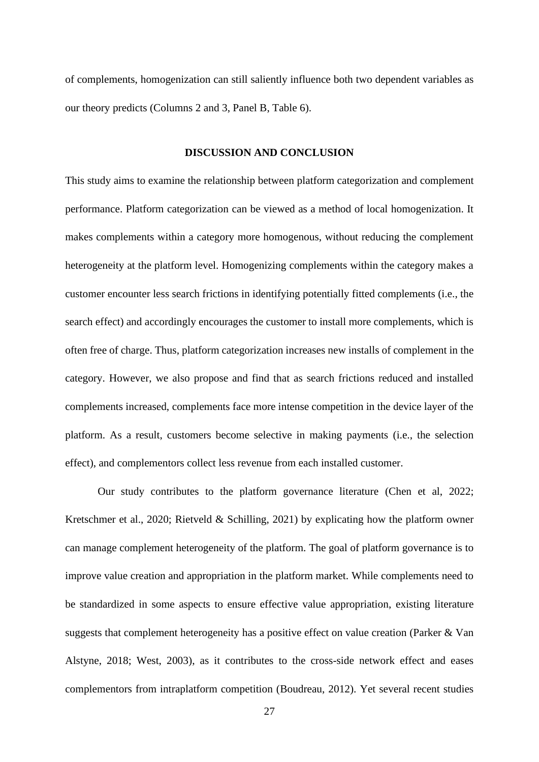of complements, homogenization can still saliently influence both two dependent variables as our theory predicts (Columns 2 and 3, Panel B, Table 6).

#### **DISCUSSION AND CONCLUSION**

This study aims to examine the relationship between platform categorization and complement performance. Platform categorization can be viewed as a method of local homogenization. It makes complements within a category more homogenous, without reducing the complement heterogeneity at the platform level. Homogenizing complements within the category makes a customer encounter less search frictions in identifying potentially fitted complements (i.e., the search effect) and accordingly encourages the customer to install more complements, which is often free of charge. Thus, platform categorization increases new installs of complement in the category. However, we also propose and find that as search frictions reduced and installed complements increased, complements face more intense competition in the device layer of the platform. As a result, customers become selective in making payments (i.e., the selection effect), and complementors collect less revenue from each installed customer.

Our study contributes to the platform governance literature (Chen et al, 2022; Kretschmer et al., 2020; Rietveld & Schilling, 2021) by explicating how the platform owner can manage complement heterogeneity of the platform. The goal of platform governance is to improve value creation and appropriation in the platform market. While complements need to be standardized in some aspects to ensure effective value appropriation, existing literature suggests that complement heterogeneity has a positive effect on value creation (Parker & Van Alstyne, 2018; West, 2003), as it contributes to the cross-side network effect and eases complementors from intraplatform competition (Boudreau, 2012). Yet several recent studies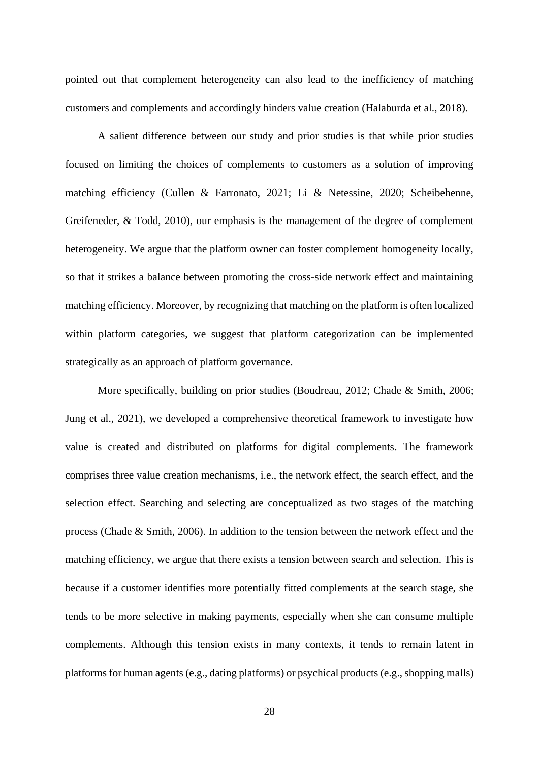pointed out that complement heterogeneity can also lead to the inefficiency of matching customers and complements and accordingly hinders value creation (Halaburda et al., 2018).

A salient difference between our study and prior studies is that while prior studies focused on limiting the choices of complements to customers as a solution of improving matching efficiency (Cullen & Farronato, 2021; Li & Netessine, 2020; Scheibehenne, Greifeneder, & Todd, 2010), our emphasis is the management of the degree of complement heterogeneity. We argue that the platform owner can foster complement homogeneity locally, so that it strikes a balance between promoting the cross-side network effect and maintaining matching efficiency. Moreover, by recognizing that matching on the platform is often localized within platform categories, we suggest that platform categorization can be implemented strategically as an approach of platform governance.

More specifically, building on prior studies (Boudreau, 2012; Chade & Smith, 2006; Jung et al., 2021), we developed a comprehensive theoretical framework to investigate how value is created and distributed on platforms for digital complements. The framework comprises three value creation mechanisms, i.e., the network effect, the search effect, and the selection effect. Searching and selecting are conceptualized as two stages of the matching process (Chade & Smith, 2006). In addition to the tension between the network effect and the matching efficiency, we argue that there exists a tension between search and selection. This is because if a customer identifies more potentially fitted complements at the search stage, she tends to be more selective in making payments, especially when she can consume multiple complements. Although this tension exists in many contexts, it tends to remain latent in platforms for human agents (e.g., dating platforms) or psychical products (e.g., shopping malls)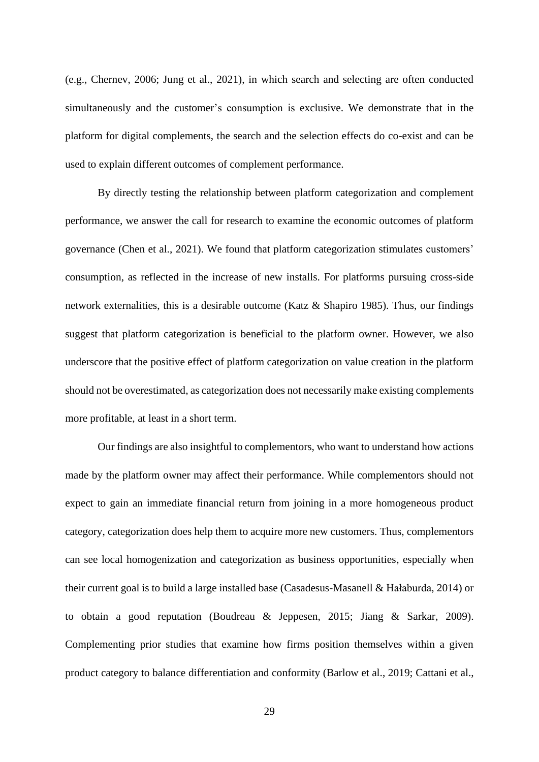(e.g., Chernev, 2006; Jung et al., 2021), in which search and selecting are often conducted simultaneously and the customer's consumption is exclusive. We demonstrate that in the platform for digital complements, the search and the selection effects do co-exist and can be used to explain different outcomes of complement performance.

By directly testing the relationship between platform categorization and complement performance, we answer the call for research to examine the economic outcomes of platform governance (Chen et al., 2021). We found that platform categorization stimulates customers' consumption, as reflected in the increase of new installs. For platforms pursuing cross-side network externalities, this is a desirable outcome (Katz & Shapiro 1985). Thus, our findings suggest that platform categorization is beneficial to the platform owner. However, we also underscore that the positive effect of platform categorization on value creation in the platform should not be overestimated, as categorization does not necessarily make existing complements more profitable, at least in a short term.

Our findings are also insightful to complementors, who want to understand how actions made by the platform owner may affect their performance. While complementors should not expect to gain an immediate financial return from joining in a more homogeneous product category, categorization does help them to acquire more new customers. Thus, complementors can see local homogenization and categorization as business opportunities, especially when their current goal is to build a large installed base (Casadesus-Masanell & Hałaburda, 2014) or to obtain a good reputation (Boudreau & Jeppesen, 2015; Jiang & Sarkar, 2009). Complementing prior studies that examine how firms position themselves within a given product category to balance differentiation and conformity (Barlow et al., 2019; Cattani et al.,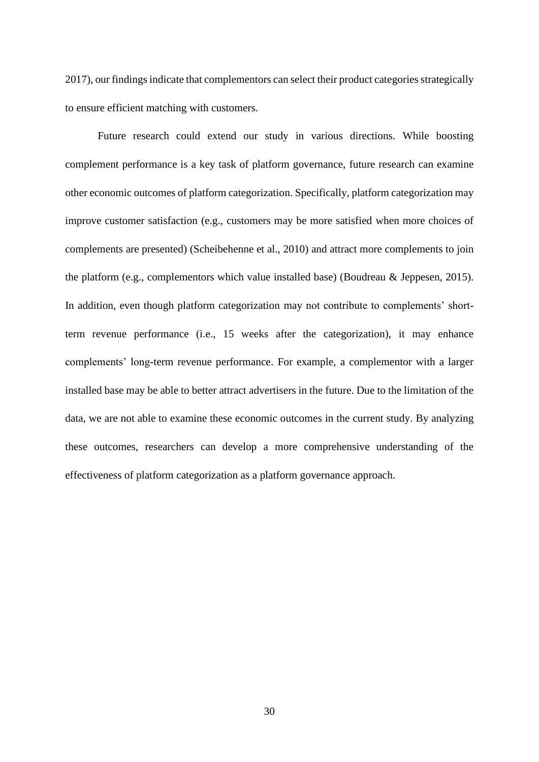2017), our findings indicate that complementors can select their product categories strategically to ensure efficient matching with customers.

Future research could extend our study in various directions. While boosting complement performance is a key task of platform governance, future research can examine other economic outcomes of platform categorization. Specifically, platform categorization may improve customer satisfaction (e.g., customers may be more satisfied when more choices of complements are presented) (Scheibehenne et al., 2010) and attract more complements to join the platform (e.g., complementors which value installed base) (Boudreau & Jeppesen, 2015). In addition, even though platform categorization may not contribute to complements' shortterm revenue performance (i.e., 15 weeks after the categorization), it may enhance complements' long-term revenue performance. For example, a complementor with a larger installed base may be able to better attract advertisers in the future. Due to the limitation of the data, we are not able to examine these economic outcomes in the current study. By analyzing these outcomes, researchers can develop a more comprehensive understanding of the effectiveness of platform categorization as a platform governance approach.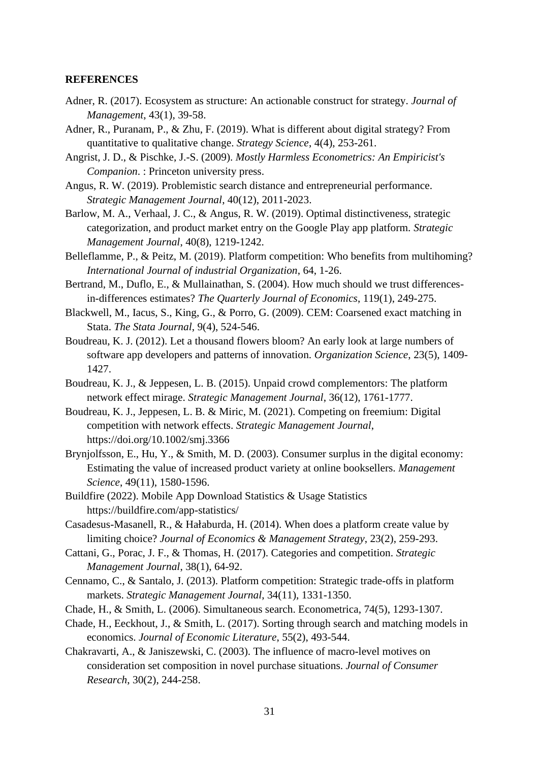#### **REFERENCES**

- Adner, R. (2017). Ecosystem as structure: An actionable construct for strategy. *Journal of Management*, 43(1), 39-58.
- Adner, R., Puranam, P., & Zhu, F. (2019). What is different about digital strategy? From quantitative to qualitative change. *Strategy Science*, 4(4), 253-261.
- Angrist, J. D., & Pischke, J.-S. (2009). *Mostly Harmless Econometrics: An Empiricist's Companion*. : Princeton university press.
- Angus, R. W. (2019). Problemistic search distance and entrepreneurial performance. *Strategic Management Journal*, 40(12), 2011-2023.
- Barlow, M. A., Verhaal, J. C., & Angus, R. W. (2019). Optimal distinctiveness, strategic categorization, and product market entry on the Google Play app platform. *Strategic Management Journal*, 40(8), 1219-1242.
- Belleflamme, P., & Peitz, M. (2019). Platform competition: Who benefits from multihoming? *International Journal of industrial Organization*, 64, 1-26.
- Bertrand, M., Duflo, E., & Mullainathan, S. (2004). How much should we trust differencesin-differences estimates? *The Quarterly Journal of Economics*, 119(1), 249-275.
- Blackwell, M., Iacus, S., King, G., & Porro, G. (2009). CEM: Coarsened exact matching in Stata. *The Stata Journal*, 9(4), 524-546.
- Boudreau, K. J. (2012). Let a thousand flowers bloom? An early look at large numbers of software app developers and patterns of innovation. *Organization Science*, 23(5), 1409- 1427.
- Boudreau, K. J., & Jeppesen, L. B. (2015). Unpaid crowd complementors: The platform network effect mirage. *Strategic Management Journal*, 36(12), 1761-1777.
- Boudreau, K. J., Jeppesen, L. B. & Miric, M. (2021). Competing on freemium: Digital competition with network effects. *Strategic Management Journal*, https://doi.org/10.1002/smj.3366
- Brynjolfsson, E., Hu, Y., & Smith, M. D. (2003). Consumer surplus in the digital economy: Estimating the value of increased product variety at online booksellers. *Management Science*, 49(11), 1580-1596.
- Buildfire (2022). Mobile App Download Statistics & Usage Statistics https://buildfire.com/app-statistics/
- Casadesus-Masanell, R., & Hałaburda, H. (2014). When does a platform create value by limiting choice? *Journal of Economics & Management Strategy*, 23(2), 259-293.
- Cattani, G., Porac, J. F., & Thomas, H. (2017). Categories and competition. *Strategic Management Journal*, 38(1), 64-92.
- Cennamo, C., & Santalo, J. (2013). Platform competition: Strategic trade-offs in platform markets. *Strategic Management Journal*, 34(11), 1331-1350.
- Chade, H., & Smith, L. (2006). Simultaneous search. Econometrica, 74(5), 1293-1307.
- Chade, H., Eeckhout, J., & Smith, L. (2017). Sorting through search and matching models in economics. *Journal of Economic Literature*, 55(2), 493-544.
- Chakravarti, A., & Janiszewski, C. (2003). The influence of macro-level motives on consideration set composition in novel purchase situations. *Journal of Consumer Research*, 30(2), 244-258.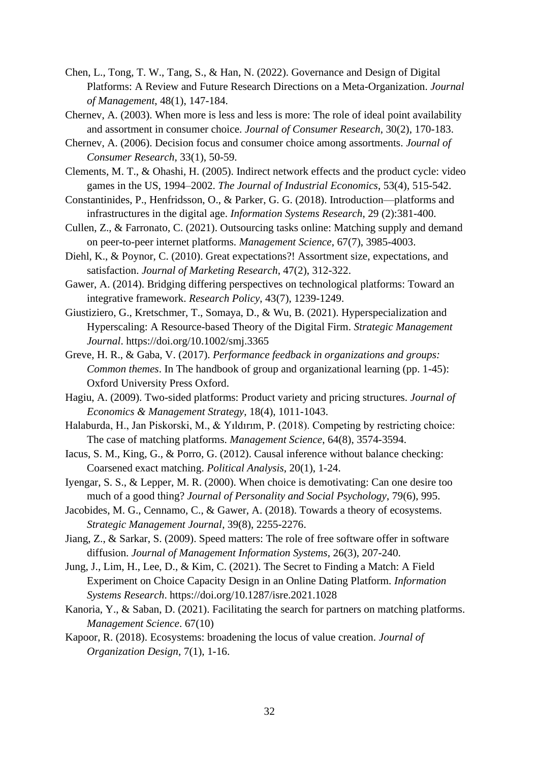- Chen, L., Tong, T. W., Tang, S., & Han, N. (2022). Governance and Design of Digital Platforms: A Review and Future Research Directions on a Meta-Organization. *Journal of Management*, 48(1), 147-184.
- Chernev, A. (2003). When more is less and less is more: The role of ideal point availability and assortment in consumer choice. *Journal of Consumer Research*, 30(2), 170-183.
- Chernev, A. (2006). Decision focus and consumer choice among assortments. *Journal of Consumer Research*, 33(1), 50-59.
- Clements, M. T., & Ohashi, H. (2005). Indirect network effects and the product cycle: video games in the US, 1994–2002. *The Journal of Industrial Economics*, 53(4), 515-542.
- Constantinides, P., Henfridsson, O., & Parker, G. G. (2018). Introduction—platforms and infrastructures in the digital age. *Information Systems Research*, 29 (2):381-400.
- Cullen, Z., & Farronato, C. (2021). Outsourcing tasks online: Matching supply and demand on peer-to-peer internet platforms. *Management Science*, 67(7), 3985-4003.
- Diehl, K., & Poynor, C. (2010). Great expectations?! Assortment size, expectations, and satisfaction. *Journal of Marketing Research*, 47(2), 312-322.
- Gawer, A. (2014). Bridging differing perspectives on technological platforms: Toward an integrative framework. *Research Policy*, 43(7), 1239-1249.
- Giustiziero, G., Kretschmer, T., Somaya, D., & Wu, B. (2021). Hyperspecialization and Hyperscaling: A Resource-based Theory of the Digital Firm. *Strategic Management Journal*. https://doi.org/10.1002/smj.3365
- Greve, H. R., & Gaba, V. (2017). *Performance feedback in organizations and groups: Common themes*. In The handbook of group and organizational learning (pp. 1-45): Oxford University Press Oxford.
- Hagiu, A. (2009). Two-sided platforms: Product variety and pricing structures. *Journal of Economics & Management Strategy*, 18(4), 1011-1043.
- Halaburda, H., Jan Piskorski, M., & Yıldırım, P. (2018). Competing by restricting choice: The case of matching platforms. *Management Science*, 64(8), 3574-3594.
- Iacus, S. M., King, G., & Porro, G. (2012). Causal inference without balance checking: Coarsened exact matching. *Political Analysis*, 20(1), 1-24.
- Iyengar, S. S., & Lepper, M. R. (2000). When choice is demotivating: Can one desire too much of a good thing? *Journal of Personality and Social Psychology*, 79(6), 995.
- Jacobides, M. G., Cennamo, C., & Gawer, A. (2018). Towards a theory of ecosystems. *Strategic Management Journal*, 39(8), 2255-2276.
- Jiang, Z., & Sarkar, S. (2009). Speed matters: The role of free software offer in software diffusion. *Journal of Management Information Systems*, 26(3), 207-240.
- Jung, J., Lim, H., Lee, D., & Kim, C. (2021). The Secret to Finding a Match: A Field Experiment on Choice Capacity Design in an Online Dating Platform. *Information Systems Research*. https://doi.org/10.1287/isre.2021.1028
- Kanoria, Y., & Saban, D. (2021). Facilitating the search for partners on matching platforms. *Management Science*. 67(10)
- Kapoor, R. (2018). Ecosystems: broadening the locus of value creation. *Journal of Organization Design*, 7(1), 1-16.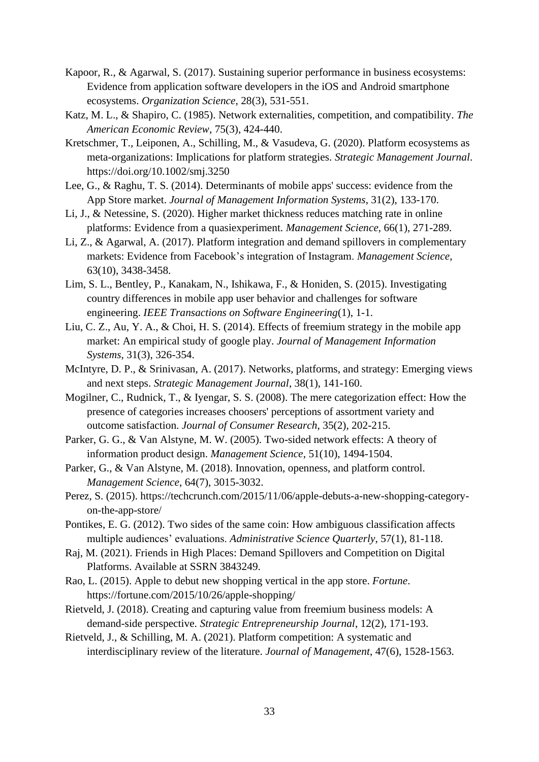- Kapoor, R., & Agarwal, S. (2017). Sustaining superior performance in business ecosystems: Evidence from application software developers in the iOS and Android smartphone ecosystems. *Organization Science*, 28(3), 531-551.
- Katz, M. L., & Shapiro, C. (1985). Network externalities, competition, and compatibility. *The American Economic Review*, 75(3), 424-440.
- Kretschmer, T., Leiponen, A., Schilling, M., & Vasudeva, G. (2020). Platform ecosystems as meta-organizations: Implications for platform strategies. *Strategic Management Journal*. https://doi.org/10.1002/smj.3250
- Lee, G., & Raghu, T. S. (2014). Determinants of mobile apps' success: evidence from the App Store market. *Journal of Management Information Systems*, 31(2), 133-170.
- Li, J., & Netessine, S. (2020). Higher market thickness reduces matching rate in online platforms: Evidence from a quasiexperiment. *Management Science*, 66(1), 271-289.
- Li, Z., & Agarwal, A. (2017). Platform integration and demand spillovers in complementary markets: Evidence from Facebook's integration of Instagram. *Management Science*, 63(10), 3438-3458.
- Lim, S. L., Bentley, P., Kanakam, N., Ishikawa, F., & Honiden, S. (2015). Investigating country differences in mobile app user behavior and challenges for software engineering. *IEEE Transactions on Software Engineering*(1), 1-1.
- Liu, C. Z., Au, Y. A., & Choi, H. S. (2014). Effects of freemium strategy in the mobile app market: An empirical study of google play. *Journal of Management Information Systems*, 31(3), 326-354.
- McIntyre, D. P., & Srinivasan, A. (2017). Networks, platforms, and strategy: Emerging views and next steps. *Strategic Management Journal*, 38(1), 141-160.
- Mogilner, C., Rudnick, T., & Iyengar, S. S. (2008). The mere categorization effect: How the presence of categories increases choosers' perceptions of assortment variety and outcome satisfaction. *Journal of Consumer Research*, 35(2), 202-215.
- Parker, G. G., & Van Alstyne, M. W. (2005). Two-sided network effects: A theory of information product design. *Management Science*, 51(10), 1494-1504.
- Parker, G., & Van Alstyne, M. (2018). Innovation, openness, and platform control. *Management Science*, 64(7), 3015-3032.
- Perez, S. (2015). https://techcrunch.com/2015/11/06/apple-debuts-a-new-shopping-categoryon-the-app-store/
- Pontikes, E. G. (2012). Two sides of the same coin: How ambiguous classification affects multiple audiences' evaluations. *Administrative Science Quarterly*, 57(1), 81-118.
- Raj, M. (2021). Friends in High Places: Demand Spillovers and Competition on Digital Platforms. Available at SSRN 3843249.
- Rao, L. (2015). Apple to debut new shopping vertical in the app store. *Fortune*. https://fortune.com/2015/10/26/apple-shopping/
- Rietveld, J. (2018). Creating and capturing value from freemium business models: A demand-side perspective. *Strategic Entrepreneurship Journal*, 12(2), 171-193.
- Rietveld, J., & Schilling, M. A. (2021). Platform competition: A systematic and interdisciplinary review of the literature. *Journal of Management*, 47(6), 1528-1563.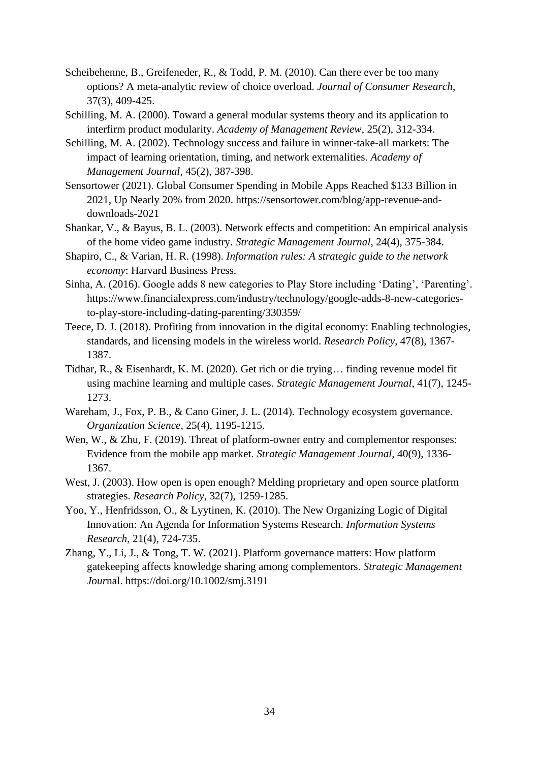- Scheibehenne, B., Greifeneder, R., & Todd, P. M. (2010). Can there ever be too many options? A meta-analytic review of choice overload. *Journal of Consumer Research*, 37(3), 409-425.
- Schilling, M. A. (2000). Toward a general modular systems theory and its application to interfirm product modularity. *Academy of Management Review*, 25(2), 312-334.
- Schilling, M. A. (2002). Technology success and failure in winner-take-all markets: The impact of learning orientation, timing, and network externalities. *Academy of Management Journal*, 45(2), 387-398.
- Sensortower (2021). Global Consumer Spending in Mobile Apps Reached \$133 Billion in 2021, Up Nearly 20% from 2020. https://sensortower.com/blog/app-revenue-anddownloads-2021
- Shankar, V., & Bayus, B. L. (2003). Network effects and competition: An empirical analysis of the home video game industry. *Strategic Management Journal*, 24(4), 375-384.
- Shapiro, C., & Varian, H. R. (1998). *Information rules: A strategic guide to the network economy*: Harvard Business Press.
- Sinha, A. (2016). Google adds 8 new categories to Play Store including 'Dating', 'Parenting'. https://www.financialexpress.com/industry/technology/google-adds-8-new-categoriesto-play-store-including-dating-parenting/330359/
- Teece, D. J. (2018). Profiting from innovation in the digital economy: Enabling technologies, standards, and licensing models in the wireless world. *Research Policy*, 47(8), 1367- 1387.
- Tidhar, R., & Eisenhardt, K. M. (2020). Get rich or die trying… finding revenue model fit using machine learning and multiple cases. *Strategic Management Journal*, 41(7), 1245- 1273.
- Wareham, J., Fox, P. B., & Cano Giner, J. L. (2014). Technology ecosystem governance. *Organization Science*, 25(4), 1195-1215.
- Wen, W., & Zhu, F. (2019). Threat of platform-owner entry and complementor responses: Evidence from the mobile app market. *Strategic Management Journal*, 40(9), 1336- 1367.
- West, J. (2003). How open is open enough? Melding proprietary and open source platform strategies. *Research Policy*, 32(7), 1259-1285.
- Yoo, Y., Henfridsson, O., & Lyytinen, K. (2010). The New Organizing Logic of Digital Innovation: An Agenda for Information Systems Research. *Information Systems Research*, 21(4), 724-735.
- Zhang, Y., Li, J., & Tong, T. W. (2021). Platform governance matters: How platform gatekeeping affects knowledge sharing among complementors. *Strategic Management Jour*nal.<https://doi.org/10.1002/smj.3191>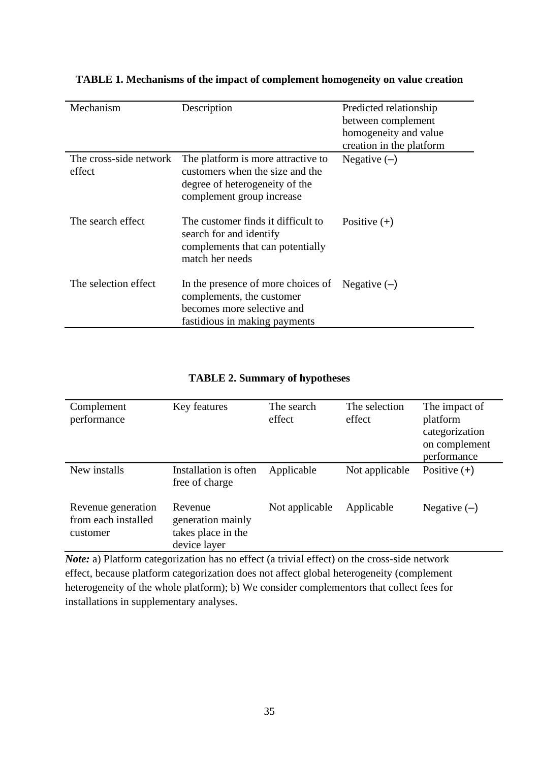| Mechanism                        | Description                                                                                                                          | Predicted relationship   |
|----------------------------------|--------------------------------------------------------------------------------------------------------------------------------------|--------------------------|
|                                  |                                                                                                                                      | between complement       |
|                                  |                                                                                                                                      | homogeneity and value    |
|                                  |                                                                                                                                      | creation in the platform |
| The cross-side network<br>effect | The platform is more attractive to<br>customers when the size and the<br>degree of heterogeneity of the<br>complement group increase | Negative $(-)$           |
| The search effect                | The customer finds it difficult to<br>search for and identify<br>complements that can potentially<br>match her needs                 | Positive $(+)$           |
| The selection effect             | In the presence of more choices of<br>complements, the customer<br>becomes more selective and<br>fastidious in making payments       | Negative $(-)$           |

## **TABLE 1. Mechanisms of the impact of complement homogeneity on value creation**

## **TABLE 2. Summary of hypotheses**

| Complement<br>performance                             | Key features                                                       | The search<br>effect | The selection<br>effect | The impact of<br>platform<br>categorization<br>on complement<br>performance |
|-------------------------------------------------------|--------------------------------------------------------------------|----------------------|-------------------------|-----------------------------------------------------------------------------|
| New installs                                          | Installation is often<br>free of charge                            | Applicable           | Not applicable          | Positive $(+)$                                                              |
| Revenue generation<br>from each installed<br>customer | Revenue<br>generation mainly<br>takes place in the<br>device layer | Not applicable       | Applicable              | Negative $(-)$                                                              |

*Note:* a) Platform categorization has no effect (a trivial effect) on the cross-side network effect, because platform categorization does not affect global heterogeneity (complement heterogeneity of the whole platform); b) We consider complementors that collect fees for installations in supplementary analyses.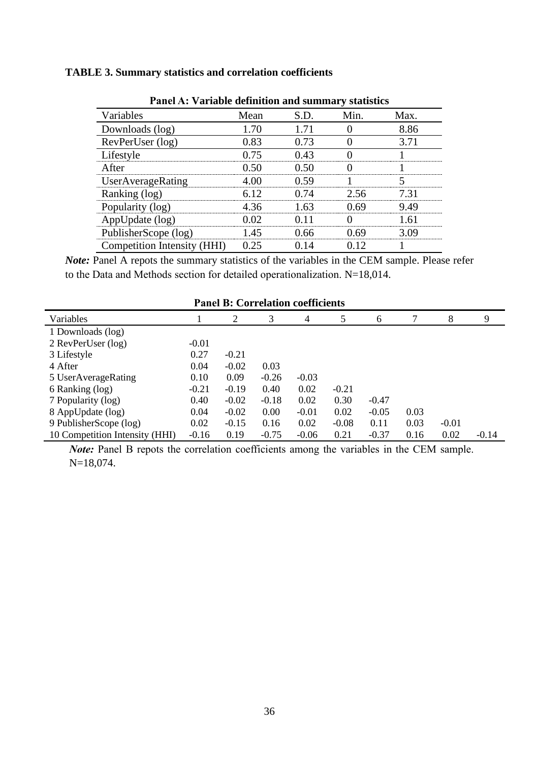## **TABLE 3. Summary statistics and correlation coefficients**

| I ance A. Variable actionibul and summary statistics |      |       |      |      |  |
|------------------------------------------------------|------|-------|------|------|--|
| Variables                                            | Mean | S.D.  | Min. | Max. |  |
| Downloads (log)                                      | 1.70 | 171   |      | 8.86 |  |
| RevPerUser (log)                                     | 0.83 | 0.73  |      | 3.71 |  |
| Lifestyle                                            | 0.75 |       |      |      |  |
| After                                                |      |       |      |      |  |
| UserAverageRating                                    |      |       |      |      |  |
| Ranking (log)                                        | 6.12 | በ 74  | 2.56 | 7 31 |  |
| Popularity (log)                                     | 4 36 |       |      |      |  |
| AppUpdate (log)                                      |      |       |      |      |  |
| PublisherScope (log)                                 | 145  | () 66 |      |      |  |
| Competition Intensity (HHI)                          | 25   |       |      |      |  |

**Panel A: Variable definition and summary statistics**

*Note:* Panel A repots the summary statistics of the variables in the CEM sample. Please refer to the Data and Methods section for detailed operationalization. N=18,014.

| <b>Panel B: Correlation coefficients</b> |         |         |         |         |         |         |      |         |         |
|------------------------------------------|---------|---------|---------|---------|---------|---------|------|---------|---------|
| Variables                                |         | 2       | 3       | 4       | 5       | 6       | 7    | 8       | 9       |
| 1 Downloads (log)                        |         |         |         |         |         |         |      |         |         |
| 2 RevPerUser (log)                       | $-0.01$ |         |         |         |         |         |      |         |         |
| 3 Lifestyle                              | 0.27    | $-0.21$ |         |         |         |         |      |         |         |
| 4 After                                  | 0.04    | $-0.02$ | 0.03    |         |         |         |      |         |         |
| 5 UserAverageRating                      | 0.10    | 0.09    | $-0.26$ | $-0.03$ |         |         |      |         |         |
| 6 Ranking (log)                          | $-0.21$ | $-0.19$ | 0.40    | 0.02    | $-0.21$ |         |      |         |         |
| 7 Popularity (log)                       | 0.40    | $-0.02$ | $-0.18$ | 0.02    | 0.30    | $-0.47$ |      |         |         |
| 8 AppUpdate (log)                        | 0.04    | $-0.02$ | 0.00    | $-0.01$ | 0.02    | $-0.05$ | 0.03 |         |         |
| 9 PublisherScope (log)                   | 0.02    | $-0.15$ | 0.16    | 0.02    | $-0.08$ | 0.11    | 0.03 | $-0.01$ |         |
| 10 Competition Intensity (HHI)           | $-0.16$ | 0.19    | $-0.75$ | $-0.06$ | 0.21    | $-0.37$ | 0.16 | 0.02    | $-0.14$ |

*Note:* Panel B repots the correlation coefficients among the variables in the CEM sample. N=18,074.

36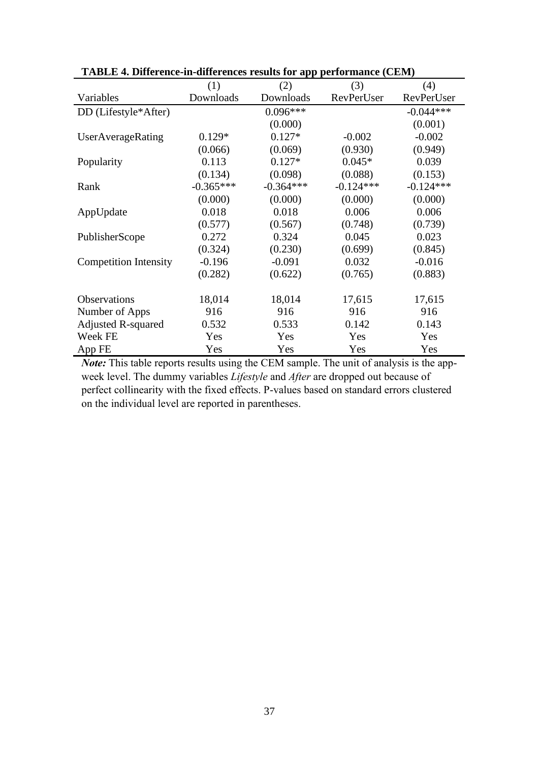|                              | (1)         | (2)         | (3)         | (4)         |
|------------------------------|-------------|-------------|-------------|-------------|
| Variables                    | Downloads   | Downloads   | RevPerUser  | RevPerUser  |
| DD (Lifestyle*After)         |             | $0.096***$  |             | $-0.044***$ |
|                              |             | (0.000)     |             | (0.001)     |
| UserAverageRating            | $0.129*$    | $0.127*$    | $-0.002$    | $-0.002$    |
|                              | (0.066)     | (0.069)     | (0.930)     | (0.949)     |
| Popularity                   | 0.113       | $0.127*$    | $0.045*$    | 0.039       |
|                              | (0.134)     | (0.098)     | (0.088)     | (0.153)     |
| Rank                         | $-0.365***$ | $-0.364***$ | $-0.124***$ | $-0.124***$ |
|                              | (0.000)     | (0.000)     | (0.000)     | (0.000)     |
| AppUpdate                    | 0.018       | 0.018       | 0.006       | 0.006       |
|                              | (0.577)     | (0.567)     | (0.748)     | (0.739)     |
| PublisherScope               | 0.272       | 0.324       | 0.045       | 0.023       |
|                              | (0.324)     | (0.230)     | (0.699)     | (0.845)     |
| <b>Competition Intensity</b> | $-0.196$    | $-0.091$    | 0.032       | $-0.016$    |
|                              | (0.282)     | (0.622)     | (0.765)     | (0.883)     |
|                              |             |             |             |             |
| <b>Observations</b>          | 18,014      | 18,014      | 17,615      | 17,615      |
| Number of Apps               | 916         | 916         | 916         | 916         |
| <b>Adjusted R-squared</b>    | 0.532       | 0.533       | 0.142       | 0.143       |
| Week FE                      | Yes         | Yes         | Yes         | Yes         |
| App FE                       | Yes         | Yes         | Yes         | Yes         |

**TABLE 4. Difference-in-differences results for app performance (CEM)**

*Note:* This table reports results using the CEM sample. The unit of analysis is the appweek level. The dummy variables *Lifestyle* and *After* are dropped out because of perfect collinearity with the fixed effects. P-values based on standard errors clustered on the individual level are reported in parentheses.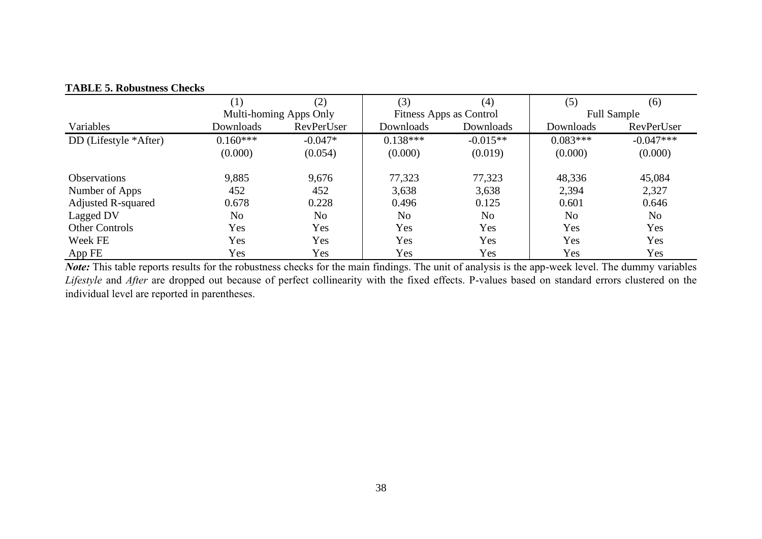|                           | $\left( 1\right)$ | (2)                    | (3)            | (4)                     | (5)            | (6)                |  |
|---------------------------|-------------------|------------------------|----------------|-------------------------|----------------|--------------------|--|
|                           |                   | Multi-homing Apps Only |                | Fitness Apps as Control |                | <b>Full Sample</b> |  |
| Variables                 | Downloads         | RevPerUser             | Downloads      | Downloads               | Downloads      | RevPerUser         |  |
| DD (Lifestyle *After)     | $0.160***$        | $-0.047*$              | $0.138***$     | $-0.015**$              | $0.083***$     | $-0.047***$        |  |
|                           | (0.000)           | (0.054)                | (0.000)        | (0.019)                 | (0.000)        | (0.000)            |  |
| <b>Observations</b>       | 9,885             | 9,676                  | 77,323         | 77,323                  | 48,336         | 45,084             |  |
| Number of Apps            | 452               | 452                    | 3,638          | 3,638                   | 2,394          | 2,327              |  |
| <b>Adjusted R-squared</b> | 0.678             | 0.228                  | 0.496          | 0.125                   | 0.601          | 0.646              |  |
| Lagged DV                 | N <sub>0</sub>    | N <sub>o</sub>         | N <sub>o</sub> | No                      | N <sub>o</sub> | N <sub>o</sub>     |  |
| <b>Other Controls</b>     | Yes               | Yes                    | Yes            | Yes                     | Yes            | Yes                |  |
| Week FE                   | Yes               | Yes                    | Yes            | Yes                     | Yes            | Yes                |  |
| AppFE                     | Yes               | Yes                    | Yes            | Yes                     | Yes            | Yes                |  |

## **TABLE 5. Robustness Checks**

*Note:* This table reports results for the robustness checks for the main findings. The unit of analysis is the app-week level. The dummy variables *Lifestyle* and *After* are dropped out because of perfect collinearity with the fixed effects. P-values based on standard errors clustered on the individual level are reported in parentheses.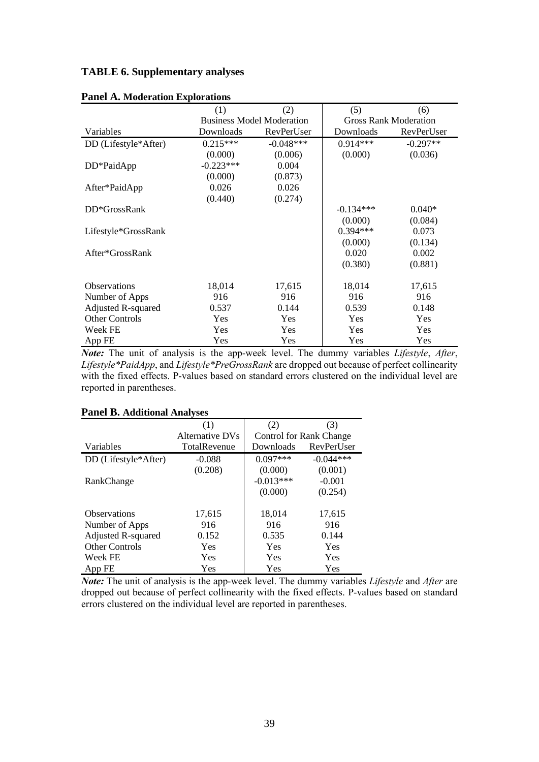#### **TABLE 6. Supplementary analyses**

| I anci A. Modelation Explorations |             |                                  |             |                              |
|-----------------------------------|-------------|----------------------------------|-------------|------------------------------|
|                                   | (1)         | (2)                              | (5)         | (6)                          |
|                                   |             | <b>Business Model Moderation</b> |             | <b>Gross Rank Moderation</b> |
| Variables                         | Downloads   | RevPerUser                       | Downloads   | RevPerUser                   |
| DD (Lifestyle*After)              | $0.215***$  | $-0.048***$                      | $0.914***$  | $-0.297**$                   |
|                                   | (0.000)     | (0.006)                          | (0.000)     | (0.036)                      |
| DD*PaidApp                        | $-0.223***$ | 0.004                            |             |                              |
|                                   | (0.000)     | (0.873)                          |             |                              |
| After*PaidApp                     | 0.026       | 0.026                            |             |                              |
|                                   | (0.440)     | (0.274)                          |             |                              |
| DD*GrossRank                      |             |                                  | $-0.134***$ | $0.040*$                     |
|                                   |             |                                  | (0.000)     | (0.084)                      |
| Lifestyle*GrossRank               |             |                                  | $0.394***$  | 0.073                        |
|                                   |             |                                  | (0.000)     | (0.134)                      |
| After*GrossRank                   |             |                                  | 0.020       | 0.002                        |
|                                   |             |                                  | (0.380)     | (0.881)                      |
| Observations                      | 18,014      | 17,615                           | 18,014      | 17,615                       |
| Number of Apps                    | 916         | 916                              | 916         | 916                          |
| <b>Adjusted R-squared</b>         | 0.537       | 0.144                            | 0.539       | 0.148                        |
| <b>Other Controls</b>             | <b>Yes</b>  | Yes                              | Yes         | <b>Yes</b>                   |
| Week FE                           | Yes         | Yes                              | <b>Yes</b>  | Yes                          |
| App FE                            | Yes         | Yes                              | Yes         | Yes                          |

#### **Panel A. Moderation Explorations**

*Note:* The unit of analysis is the app-week level. The dummy variables *Lifestyle*, *After*, *Lifestyle\*PaidApp*, and *Lifestyle\*PreGrossRank* are dropped out because of perfect collinearity with the fixed effects. P-values based on standard errors clustered on the individual level are reported in parentheses.

## **Panel B. Additional Analyses**

|                       | (1)             | (2)                            | (3)         |
|-----------------------|-----------------|--------------------------------|-------------|
|                       | Alternative DVs | <b>Control for Rank Change</b> |             |
| Variables             | TotalRevenue    | Downloads                      | RevPerUser  |
| DD (Lifestyle*After)  | $-0.088$        | $0.097***$                     | $-0.044***$ |
|                       | (0.208)         | (0.000)                        | (0.001)     |
| RankChange            |                 | $-0.013***$                    | $-0.001$    |
|                       |                 | (0.000)                        | (0.254)     |
| <b>Observations</b>   | 17,615          | 18,014                         | 17,615      |
| Number of Apps        | 916             | 916                            | 916         |
| Adjusted R-squared    | 0.152           | 0.535                          | 0.144       |
| <b>Other Controls</b> | Yes             | Yes                            | Yes         |
| Week FE               | Yes             | Yes                            | Yes         |
| App FE                | Yes             | Yes                            | Yes         |

*Note:* The unit of analysis is the app-week level. The dummy variables *Lifestyle* and *After* are dropped out because of perfect collinearity with the fixed effects. P-values based on standard errors clustered on the individual level are reported in parentheses.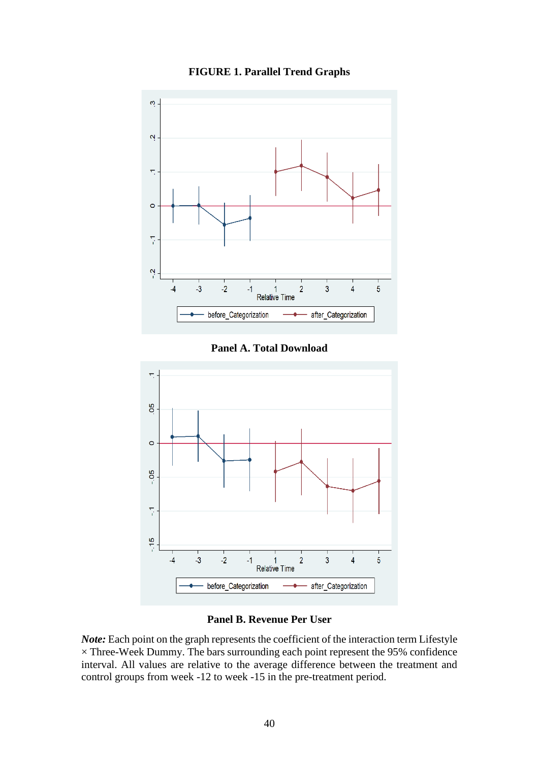

**FIGURE 1. Parallel Trend Graphs**

**Panel A. Total Download**



## **Panel B. Revenue Per User**

*Note:* Each point on the graph represents the coefficient of the interaction term Lifestyle  $\times$  Three-Week Dummy. The bars surrounding each point represent the 95% confidence interval. All values are relative to the average difference between the treatment and control groups from week -12 to week -15 in the pre-treatment period.